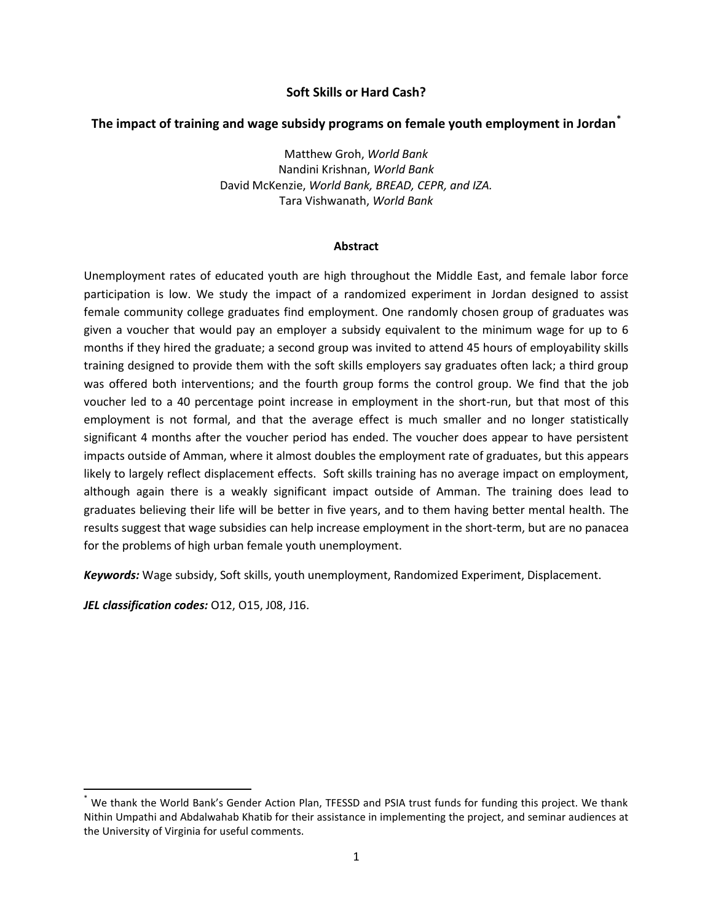# **Soft Skills or Hard Cash?**

# **The impact of training and wage subsidy programs on female youth employment in Jordan\***

Matthew Groh, *World Bank* Nandini Krishnan, *World Bank* David McKenzie, *World Bank, BREAD, CEPR, and IZA.* Tara Vishwanath, *World Bank*

## **Abstract**

Unemployment rates of educated youth are high throughout the Middle East, and female labor force participation is low. We study the impact of a randomized experiment in Jordan designed to assist female community college graduates find employment. One randomly chosen group of graduates was given a voucher that would pay an employer a subsidy equivalent to the minimum wage for up to 6 months if they hired the graduate; a second group was invited to attend 45 hours of employability skills training designed to provide them with the soft skills employers say graduates often lack; a third group was offered both interventions; and the fourth group forms the control group. We find that the job voucher led to a 40 percentage point increase in employment in the short-run, but that most of this employment is not formal, and that the average effect is much smaller and no longer statistically significant 4 months after the voucher period has ended. The voucher does appear to have persistent impacts outside of Amman, where it almost doubles the employment rate of graduates, but this appears likely to largely reflect displacement effects. Soft skills training has no average impact on employment, although again there is a weakly significant impact outside of Amman. The training does lead to graduates believing their life will be better in five years, and to them having better mental health. The results suggest that wage subsidies can help increase employment in the short-term, but are no panacea for the problems of high urban female youth unemployment.

*Keywords:* Wage subsidy, Soft skills, youth unemployment, Randomized Experiment, Displacement.

*JEL classification codes:* O12, O15, J08, J16.

 $\overline{\phantom{a}}$ 

We thank the World Bank's Gender Action Plan, TFESSD and PSIA trust funds for funding this project. We thank Nithin Umpathi and Abdalwahab Khatib for their assistance in implementing the project, and seminar audiences at the University of Virginia for useful comments.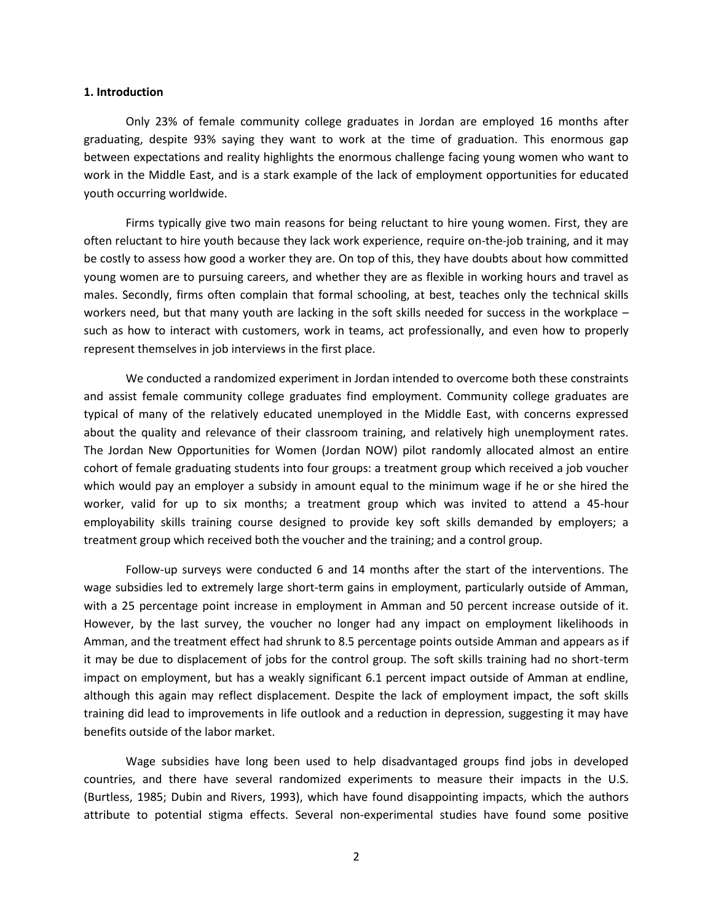#### **1. Introduction**

Only 23% of female community college graduates in Jordan are employed 16 months after graduating, despite 93% saying they want to work at the time of graduation. This enormous gap between expectations and reality highlights the enormous challenge facing young women who want to work in the Middle East, and is a stark example of the lack of employment opportunities for educated youth occurring worldwide.

Firms typically give two main reasons for being reluctant to hire young women. First, they are often reluctant to hire youth because they lack work experience, require on-the-job training, and it may be costly to assess how good a worker they are. On top of this, they have doubts about how committed young women are to pursuing careers, and whether they are as flexible in working hours and travel as males. Secondly, firms often complain that formal schooling, at best, teaches only the technical skills workers need, but that many youth are lacking in the soft skills needed for success in the workplace – such as how to interact with customers, work in teams, act professionally, and even how to properly represent themselves in job interviews in the first place.

We conducted a randomized experiment in Jordan intended to overcome both these constraints and assist female community college graduates find employment. Community college graduates are typical of many of the relatively educated unemployed in the Middle East, with concerns expressed about the quality and relevance of their classroom training, and relatively high unemployment rates. The Jordan New Opportunities for Women (Jordan NOW) pilot randomly allocated almost an entire cohort of female graduating students into four groups: a treatment group which received a job voucher which would pay an employer a subsidy in amount equal to the minimum wage if he or she hired the worker, valid for up to six months; a treatment group which was invited to attend a 45-hour employability skills training course designed to provide key soft skills demanded by employers; a treatment group which received both the voucher and the training; and a control group.

Follow-up surveys were conducted 6 and 14 months after the start of the interventions. The wage subsidies led to extremely large short-term gains in employment, particularly outside of Amman, with a 25 percentage point increase in employment in Amman and 50 percent increase outside of it. However, by the last survey, the voucher no longer had any impact on employment likelihoods in Amman, and the treatment effect had shrunk to 8.5 percentage points outside Amman and appears as if it may be due to displacement of jobs for the control group. The soft skills training had no short-term impact on employment, but has a weakly significant 6.1 percent impact outside of Amman at endline, although this again may reflect displacement. Despite the lack of employment impact, the soft skills training did lead to improvements in life outlook and a reduction in depression, suggesting it may have benefits outside of the labor market.

Wage subsidies have long been used to help disadvantaged groups find jobs in developed countries, and there have several randomized experiments to measure their impacts in the U.S. (Burtless, 1985; Dubin and Rivers, 1993), which have found disappointing impacts, which the authors attribute to potential stigma effects. Several non-experimental studies have found some positive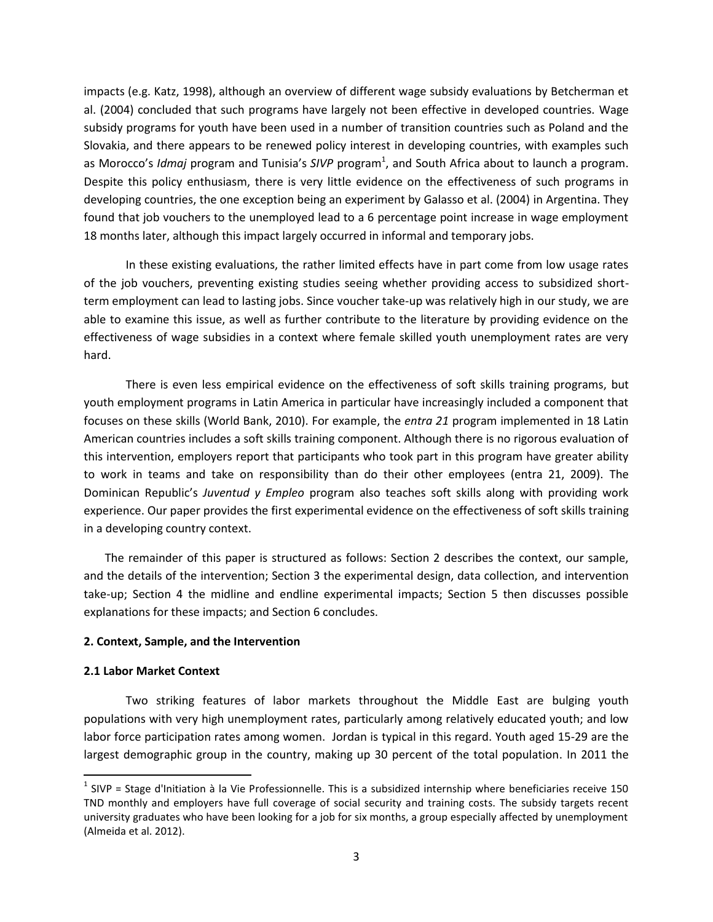impacts (e.g. Katz, 1998), although an overview of different wage subsidy evaluations by Betcherman et al. (2004) concluded that such programs have largely not been effective in developed countries. Wage subsidy programs for youth have been used in a number of transition countries such as Poland and the Slovakia, and there appears to be renewed policy interest in developing countries, with examples such as Morocco's *Idmaj* program and Tunisia's SIVP program<sup>1</sup>, and South Africa about to launch a program. Despite this policy enthusiasm, there is very little evidence on the effectiveness of such programs in developing countries, the one exception being an experiment by Galasso et al. (2004) in Argentina. They found that job vouchers to the unemployed lead to a 6 percentage point increase in wage employment 18 months later, although this impact largely occurred in informal and temporary jobs.

In these existing evaluations, the rather limited effects have in part come from low usage rates of the job vouchers, preventing existing studies seeing whether providing access to subsidized shortterm employment can lead to lasting jobs. Since voucher take-up was relatively high in our study, we are able to examine this issue, as well as further contribute to the literature by providing evidence on the effectiveness of wage subsidies in a context where female skilled youth unemployment rates are very hard.

There is even less empirical evidence on the effectiveness of soft skills training programs, but youth employment programs in Latin America in particular have increasingly included a component that focuses on these skills (World Bank, 2010). For example, the *entra 21* program implemented in 18 Latin American countries includes a soft skills training component. Although there is no rigorous evaluation of this intervention, employers report that participants who took part in this program have greater ability to work in teams and take on responsibility than do their other employees (entra 21, 2009). The Dominican Republic's *Juventud y Empleo* program also teaches soft skills along with providing work experience. Our paper provides the first experimental evidence on the effectiveness of soft skills training in a developing country context.

The remainder of this paper is structured as follows: Section 2 describes the context, our sample, and the details of the intervention; Section 3 the experimental design, data collection, and intervention take-up; Section 4 the midline and endline experimental impacts; Section 5 then discusses possible explanations for these impacts; and Section 6 concludes.

## **2. Context, Sample, and the Intervention**

## **2.1 Labor Market Context**

 $\overline{a}$ 

Two striking features of labor markets throughout the Middle East are bulging youth populations with very high unemployment rates, particularly among relatively educated youth; and low labor force participation rates among women. Jordan is typical in this regard. Youth aged 15-29 are the largest demographic group in the country, making up 30 percent of the total population. In 2011 the

 $<sup>1</sup>$  SIVP = Stage d'Initiation à la Vie Professionnelle. This is a subsidized internship where beneficiaries receive 150</sup> TND monthly and employers have full coverage of social security and training costs. The subsidy targets recent university graduates who have been looking for a job for six months, a group especially affected by unemployment (Almeida et al. 2012).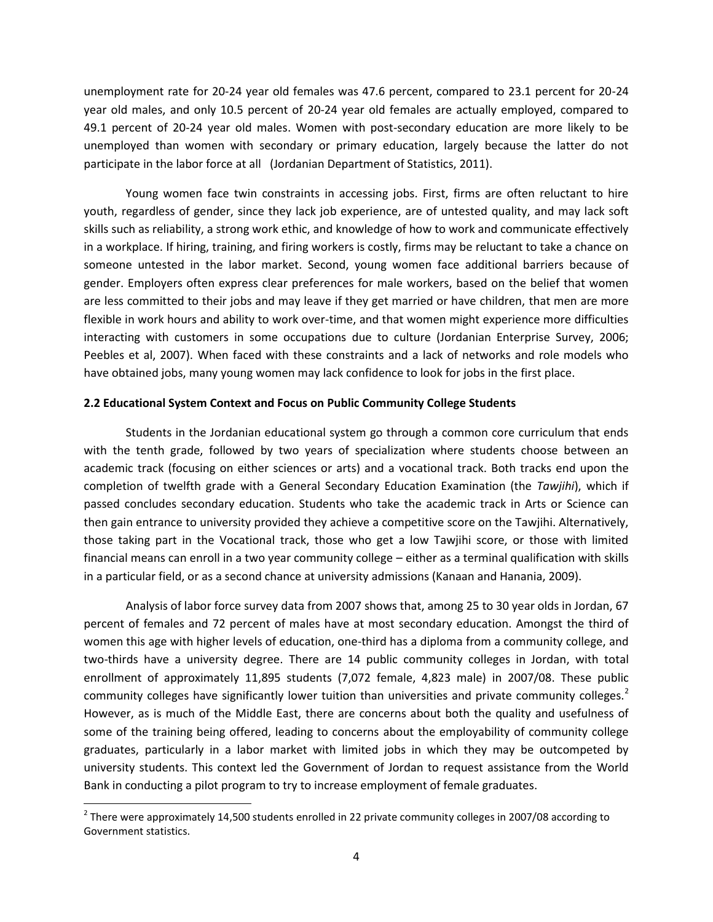unemployment rate for 20-24 year old females was 47.6 percent, compared to 23.1 percent for 20-24 year old males, and only 10.5 percent of 20-24 year old females are actually employed, compared to 49.1 percent of 20-24 year old males. Women with post-secondary education are more likely to be unemployed than women with secondary or primary education, largely because the latter do not participate in the labor force at all (Jordanian Department of Statistics, 2011).

Young women face twin constraints in accessing jobs. First, firms are often reluctant to hire youth, regardless of gender, since they lack job experience, are of untested quality, and may lack soft skills such as reliability, a strong work ethic, and knowledge of how to work and communicate effectively in a workplace. If hiring, training, and firing workers is costly, firms may be reluctant to take a chance on someone untested in the labor market. Second, young women face additional barriers because of gender. Employers often express clear preferences for male workers, based on the belief that women are less committed to their jobs and may leave if they get married or have children, that men are more flexible in work hours and ability to work over-time, and that women might experience more difficulties interacting with customers in some occupations due to culture (Jordanian Enterprise Survey, 2006; Peebles et al, 2007). When faced with these constraints and a lack of networks and role models who have obtained jobs, many young women may lack confidence to look for jobs in the first place.

## **2.2 Educational System Context and Focus on Public Community College Students**

Students in the Jordanian educational system go through a common core curriculum that ends with the tenth grade, followed by two years of specialization where students choose between an academic track (focusing on either sciences or arts) and a vocational track. Both tracks end upon the completion of twelfth grade with a General Secondary Education Examination (the *Tawjihi*), which if passed concludes secondary education. Students who take the academic track in Arts or Science can then gain entrance to university provided they achieve a competitive score on the Tawjihi. Alternatively, those taking part in the Vocational track, those who get a low Tawjihi score, or those with limited financial means can enroll in a two year community college – either as a terminal qualification with skills in a particular field, or as a second chance at university admissions (Kanaan and Hanania, 2009).

Analysis of labor force survey data from 2007 shows that, among 25 to 30 year olds in Jordan, 67 percent of females and 72 percent of males have at most secondary education. Amongst the third of women this age with higher levels of education, one-third has a diploma from a community college, and two-thirds have a university degree. There are 14 public community colleges in Jordan, with total enrollment of approximately 11,895 students (7,072 female, 4,823 male) in 2007/08. These public community colleges have significantly lower tuition than universities and private community colleges.<sup>2</sup> However, as is much of the Middle East, there are concerns about both the quality and usefulness of some of the training being offered, leading to concerns about the employability of community college graduates, particularly in a labor market with limited jobs in which they may be outcompeted by university students. This context led the Government of Jordan to request assistance from the World Bank in conducting a pilot program to try to increase employment of female graduates.

l

 $^2$  There were approximately 14,500 students enrolled in 22 private community colleges in 2007/08 according to Government statistics.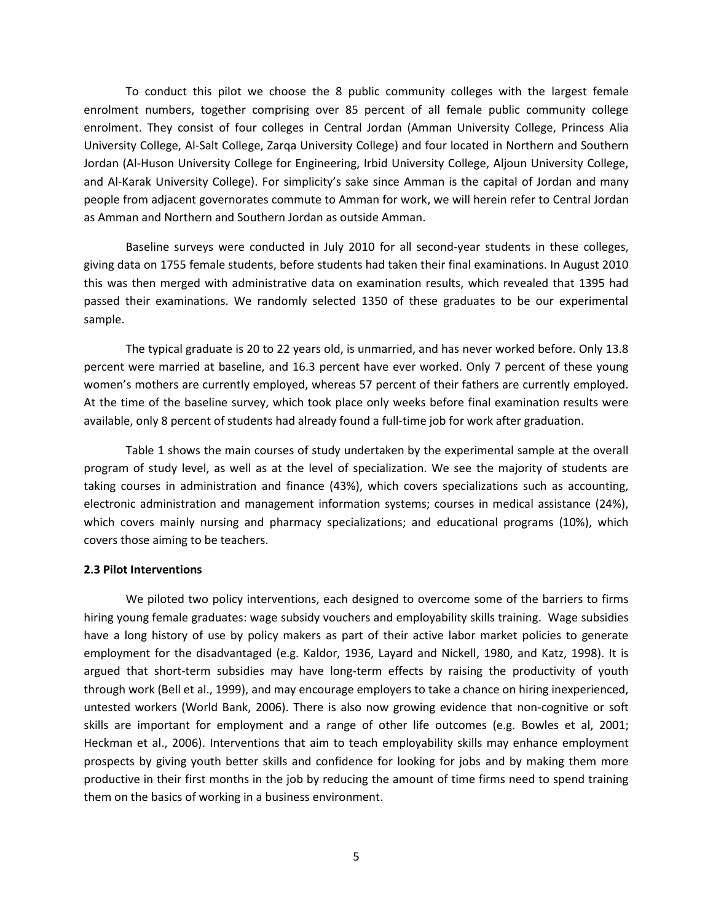To conduct this pilot we choose the 8 public community colleges with the largest female enrolment numbers, together comprising over 85 percent of all female public community college enrolment. They consist of four colleges in Central Jordan (Amman University College, Princess Alia University College, Al-Salt College, Zarqa University College) and four located in Northern and Southern Jordan (Al-Huson University College for Engineering, Irbid University College, Aljoun University College, and Al-Karak University College). For simplicity's sake since Amman is the capital of Jordan and many people from adjacent governorates commute to Amman for work, we will herein refer to Central Jordan as Amman and Northern and Southern Jordan as outside Amman.

Baseline surveys were conducted in July 2010 for all second-year students in these colleges, giving data on 1755 female students, before students had taken their final examinations. In August 2010 this was then merged with administrative data on examination results, which revealed that 1395 had passed their examinations. We randomly selected 1350 of these graduates to be our experimental sample.

The typical graduate is 20 to 22 years old, is unmarried, and has never worked before. Only 13.8 percent were married at baseline, and 16.3 percent have ever worked. Only 7 percent of these young women's mothers are currently employed, whereas 57 percent of their fathers are currently employed. At the time of the baseline survey, which took place only weeks before final examination results were available, only 8 percent of students had already found a full-time job for work after graduation.

Table 1 shows the main courses of study undertaken by the experimental sample at the overall program of study level, as well as at the level of specialization. We see the majority of students are taking courses in administration and finance (43%), which covers specializations such as accounting, electronic administration and management information systems; courses in medical assistance (24%), which covers mainly nursing and pharmacy specializations; and educational programs (10%), which covers those aiming to be teachers.

## **2.3 Pilot Interventions**

We piloted two policy interventions, each designed to overcome some of the barriers to firms hiring young female graduates: wage subsidy vouchers and employability skills training. Wage subsidies have a long history of use by policy makers as part of their active labor market policies to generate employment for the disadvantaged (e.g. Kaldor, 1936, Layard and Nickell, 1980, and Katz, 1998). It is argued that short-term subsidies may have long-term effects by raising the productivity of youth through work (Bell et al., 1999), and may encourage employers to take a chance on hiring inexperienced, untested workers (World Bank, 2006). There is also now growing evidence that non-cognitive or soft skills are important for employment and a range of other life outcomes (e.g. Bowles et al, 2001; Heckman et al., 2006). Interventions that aim to teach employability skills may enhance employment prospects by giving youth better skills and confidence for looking for jobs and by making them more productive in their first months in the job by reducing the amount of time firms need to spend training them on the basics of working in a business environment.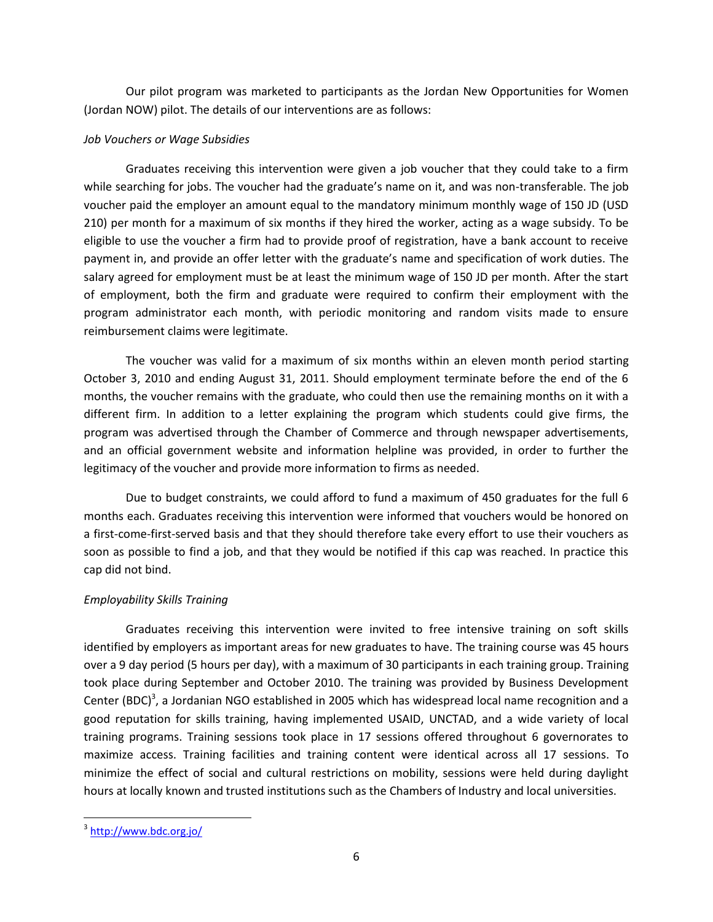Our pilot program was marketed to participants as the Jordan New Opportunities for Women (Jordan NOW) pilot. The details of our interventions are as follows:

## *Job Vouchers or Wage Subsidies*

Graduates receiving this intervention were given a job voucher that they could take to a firm while searching for jobs. The voucher had the graduate's name on it, and was non-transferable. The job voucher paid the employer an amount equal to the mandatory minimum monthly wage of 150 JD (USD 210) per month for a maximum of six months if they hired the worker, acting as a wage subsidy. To be eligible to use the voucher a firm had to provide proof of registration, have a bank account to receive payment in, and provide an offer letter with the graduate's name and specification of work duties. The salary agreed for employment must be at least the minimum wage of 150 JD per month. After the start of employment, both the firm and graduate were required to confirm their employment with the program administrator each month, with periodic monitoring and random visits made to ensure reimbursement claims were legitimate.

The voucher was valid for a maximum of six months within an eleven month period starting October 3, 2010 and ending August 31, 2011. Should employment terminate before the end of the 6 months, the voucher remains with the graduate, who could then use the remaining months on it with a different firm. In addition to a letter explaining the program which students could give firms, the program was advertised through the Chamber of Commerce and through newspaper advertisements, and an official government website and information helpline was provided, in order to further the legitimacy of the voucher and provide more information to firms as needed.

Due to budget constraints, we could afford to fund a maximum of 450 graduates for the full 6 months each. Graduates receiving this intervention were informed that vouchers would be honored on a first-come-first-served basis and that they should therefore take every effort to use their vouchers as soon as possible to find a job, and that they would be notified if this cap was reached. In practice this cap did not bind.

## *Employability Skills Training*

Graduates receiving this intervention were invited to free intensive training on soft skills identified by employers as important areas for new graduates to have. The training course was 45 hours over a 9 day period (5 hours per day), with a maximum of 30 participants in each training group. Training took place during September and October 2010. The training was provided by Business Development Center (BDC)<sup>3</sup>, a Jordanian NGO established in 2005 which has widespread local name recognition and a good reputation for skills training, having implemented USAID, UNCTAD, and a wide variety of local training programs. Training sessions took place in 17 sessions offered throughout 6 governorates to maximize access. Training facilities and training content were identical across all 17 sessions. To minimize the effect of social and cultural restrictions on mobility, sessions were held during daylight hours at locally known and trusted institutions such as the Chambers of Industry and local universities.

 $\overline{\phantom{a}}$ 

<sup>&</sup>lt;sup>3</sup> <http://www.bdc.org.jo/>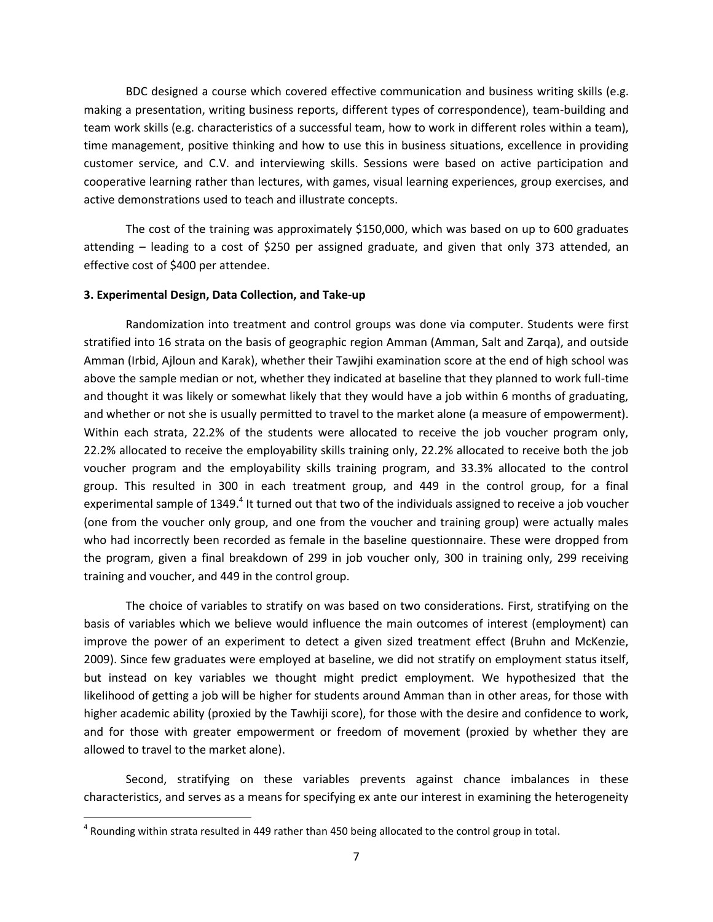BDC designed a course which covered effective communication and business writing skills (e.g. making a presentation, writing business reports, different types of correspondence), team-building and team work skills (e.g. characteristics of a successful team, how to work in different roles within a team), time management, positive thinking and how to use this in business situations, excellence in providing customer service, and C.V. and interviewing skills. Sessions were based on active participation and cooperative learning rather than lectures, with games, visual learning experiences, group exercises, and active demonstrations used to teach and illustrate concepts.

The cost of the training was approximately \$150,000, which was based on up to 600 graduates attending – leading to a cost of \$250 per assigned graduate, and given that only 373 attended, an effective cost of \$400 per attendee.

#### **3. Experimental Design, Data Collection, and Take-up**

Randomization into treatment and control groups was done via computer. Students were first stratified into 16 strata on the basis of geographic region Amman (Amman, Salt and Zarqa), and outside Amman (Irbid, Ajloun and Karak), whether their Tawjihi examination score at the end of high school was above the sample median or not, whether they indicated at baseline that they planned to work full-time and thought it was likely or somewhat likely that they would have a job within 6 months of graduating, and whether or not she is usually permitted to travel to the market alone (a measure of empowerment). Within each strata, 22.2% of the students were allocated to receive the job voucher program only, 22.2% allocated to receive the employability skills training only, 22.2% allocated to receive both the job voucher program and the employability skills training program, and 33.3% allocated to the control group. This resulted in 300 in each treatment group, and 449 in the control group, for a final experimental sample of 1349.<sup>4</sup> It turned out that two of the individuals assigned to receive a job voucher (one from the voucher only group, and one from the voucher and training group) were actually males who had incorrectly been recorded as female in the baseline questionnaire. These were dropped from the program, given a final breakdown of 299 in job voucher only, 300 in training only, 299 receiving training and voucher, and 449 in the control group.

The choice of variables to stratify on was based on two considerations. First, stratifying on the basis of variables which we believe would influence the main outcomes of interest (employment) can improve the power of an experiment to detect a given sized treatment effect (Bruhn and McKenzie, 2009). Since few graduates were employed at baseline, we did not stratify on employment status itself, but instead on key variables we thought might predict employment. We hypothesized that the likelihood of getting a job will be higher for students around Amman than in other areas, for those with higher academic ability (proxied by the Tawhiji score), for those with the desire and confidence to work, and for those with greater empowerment or freedom of movement (proxied by whether they are allowed to travel to the market alone).

Second, stratifying on these variables prevents against chance imbalances in these characteristics, and serves as a means for specifying ex ante our interest in examining the heterogeneity

 $\overline{\phantom{a}}$ 

 $^4$  Rounding within strata resulted in 449 rather than 450 being allocated to the control group in total.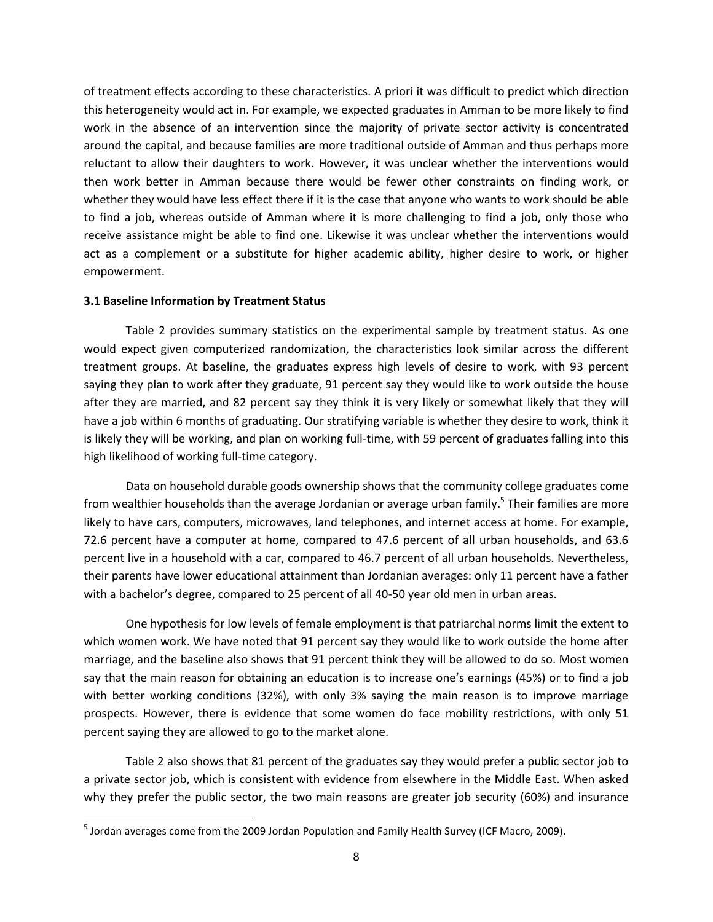of treatment effects according to these characteristics. A priori it was difficult to predict which direction this heterogeneity would act in. For example, we expected graduates in Amman to be more likely to find work in the absence of an intervention since the majority of private sector activity is concentrated around the capital, and because families are more traditional outside of Amman and thus perhaps more reluctant to allow their daughters to work. However, it was unclear whether the interventions would then work better in Amman because there would be fewer other constraints on finding work, or whether they would have less effect there if it is the case that anyone who wants to work should be able to find a job, whereas outside of Amman where it is more challenging to find a job, only those who receive assistance might be able to find one. Likewise it was unclear whether the interventions would act as a complement or a substitute for higher academic ability, higher desire to work, or higher empowerment.

## **3.1 Baseline Information by Treatment Status**

 $\overline{\phantom{a}}$ 

Table 2 provides summary statistics on the experimental sample by treatment status. As one would expect given computerized randomization, the characteristics look similar across the different treatment groups. At baseline, the graduates express high levels of desire to work, with 93 percent saying they plan to work after they graduate, 91 percent say they would like to work outside the house after they are married, and 82 percent say they think it is very likely or somewhat likely that they will have a job within 6 months of graduating. Our stratifying variable is whether they desire to work, think it is likely they will be working, and plan on working full-time, with 59 percent of graduates falling into this high likelihood of working full-time category.

Data on household durable goods ownership shows that the community college graduates come from wealthier households than the average Jordanian or average urban family.<sup>5</sup> Their families are more likely to have cars, computers, microwaves, land telephones, and internet access at home. For example, 72.6 percent have a computer at home, compared to 47.6 percent of all urban households, and 63.6 percent live in a household with a car, compared to 46.7 percent of all urban households. Nevertheless, their parents have lower educational attainment than Jordanian averages: only 11 percent have a father with a bachelor's degree, compared to 25 percent of all 40-50 year old men in urban areas.

One hypothesis for low levels of female employment is that patriarchal norms limit the extent to which women work. We have noted that 91 percent say they would like to work outside the home after marriage, and the baseline also shows that 91 percent think they will be allowed to do so. Most women say that the main reason for obtaining an education is to increase one's earnings (45%) or to find a job with better working conditions (32%), with only 3% saying the main reason is to improve marriage prospects. However, there is evidence that some women do face mobility restrictions, with only 51 percent saying they are allowed to go to the market alone.

Table 2 also shows that 81 percent of the graduates say they would prefer a public sector job to a private sector job, which is consistent with evidence from elsewhere in the Middle East. When asked why they prefer the public sector, the two main reasons are greater job security (60%) and insurance

<sup>&</sup>lt;sup>5</sup> Jordan averages come from the 2009 Jordan Population and Family Health Survey (ICF Macro, 2009).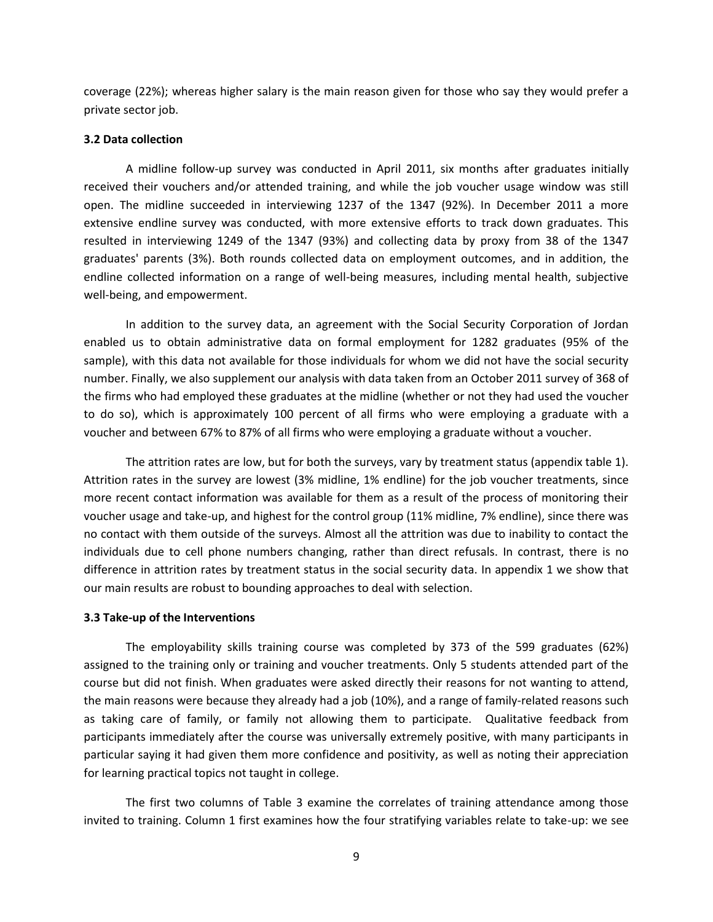coverage (22%); whereas higher salary is the main reason given for those who say they would prefer a private sector job.

### **3.2 Data collection**

A midline follow-up survey was conducted in April 2011, six months after graduates initially received their vouchers and/or attended training, and while the job voucher usage window was still open. The midline succeeded in interviewing 1237 of the 1347 (92%). In December 2011 a more extensive endline survey was conducted, with more extensive efforts to track down graduates. This resulted in interviewing 1249 of the 1347 (93%) and collecting data by proxy from 38 of the 1347 graduates' parents (3%). Both rounds collected data on employment outcomes, and in addition, the endline collected information on a range of well-being measures, including mental health, subjective well-being, and empowerment.

In addition to the survey data, an agreement with the Social Security Corporation of Jordan enabled us to obtain administrative data on formal employment for 1282 graduates (95% of the sample), with this data not available for those individuals for whom we did not have the social security number. Finally, we also supplement our analysis with data taken from an October 2011 survey of 368 of the firms who had employed these graduates at the midline (whether or not they had used the voucher to do so), which is approximately 100 percent of all firms who were employing a graduate with a voucher and between 67% to 87% of all firms who were employing a graduate without a voucher.

The attrition rates are low, but for both the surveys, vary by treatment status (appendix table 1). Attrition rates in the survey are lowest (3% midline, 1% endline) for the job voucher treatments, since more recent contact information was available for them as a result of the process of monitoring their voucher usage and take-up, and highest for the control group (11% midline, 7% endline), since there was no contact with them outside of the surveys. Almost all the attrition was due to inability to contact the individuals due to cell phone numbers changing, rather than direct refusals. In contrast, there is no difference in attrition rates by treatment status in the social security data. In appendix 1 we show that our main results are robust to bounding approaches to deal with selection.

#### **3.3 Take-up of the Interventions**

The employability skills training course was completed by 373 of the 599 graduates (62%) assigned to the training only or training and voucher treatments. Only 5 students attended part of the course but did not finish. When graduates were asked directly their reasons for not wanting to attend, the main reasons were because they already had a job (10%), and a range of family-related reasons such as taking care of family, or family not allowing them to participate. Qualitative feedback from participants immediately after the course was universally extremely positive, with many participants in particular saying it had given them more confidence and positivity, as well as noting their appreciation for learning practical topics not taught in college.

The first two columns of Table 3 examine the correlates of training attendance among those invited to training. Column 1 first examines how the four stratifying variables relate to take-up: we see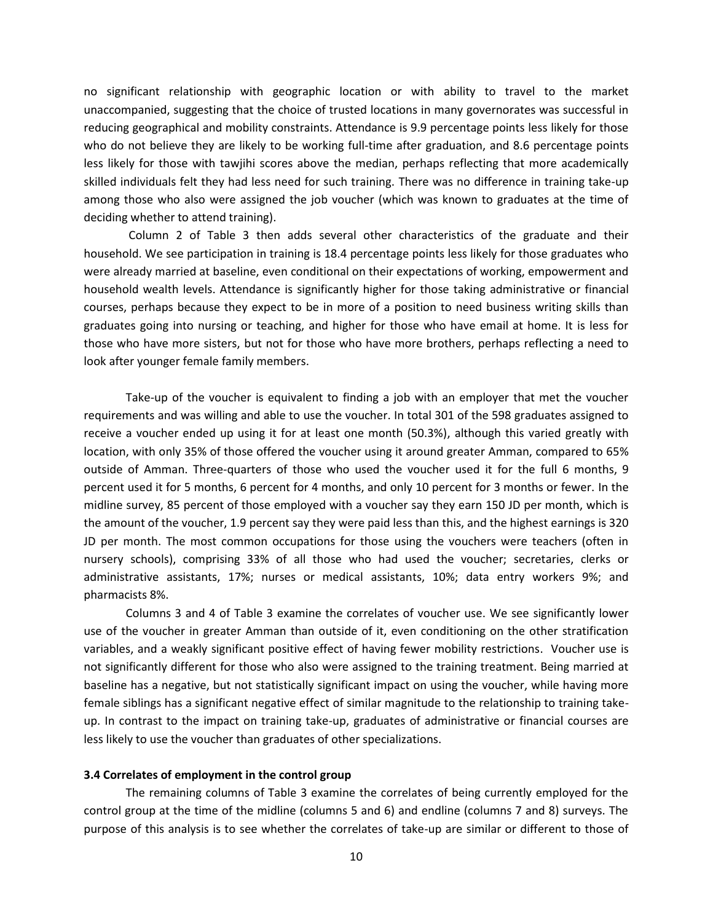no significant relationship with geographic location or with ability to travel to the market unaccompanied, suggesting that the choice of trusted locations in many governorates was successful in reducing geographical and mobility constraints. Attendance is 9.9 percentage points less likely for those who do not believe they are likely to be working full-time after graduation, and 8.6 percentage points less likely for those with tawjihi scores above the median, perhaps reflecting that more academically skilled individuals felt they had less need for such training. There was no difference in training take-up among those who also were assigned the job voucher (which was known to graduates at the time of deciding whether to attend training).

Column 2 of Table 3 then adds several other characteristics of the graduate and their household. We see participation in training is 18.4 percentage points less likely for those graduates who were already married at baseline, even conditional on their expectations of working, empowerment and household wealth levels. Attendance is significantly higher for those taking administrative or financial courses, perhaps because they expect to be in more of a position to need business writing skills than graduates going into nursing or teaching, and higher for those who have email at home. It is less for those who have more sisters, but not for those who have more brothers, perhaps reflecting a need to look after younger female family members.

Take-up of the voucher is equivalent to finding a job with an employer that met the voucher requirements and was willing and able to use the voucher. In total 301 of the 598 graduates assigned to receive a voucher ended up using it for at least one month (50.3%), although this varied greatly with location, with only 35% of those offered the voucher using it around greater Amman, compared to 65% outside of Amman. Three-quarters of those who used the voucher used it for the full 6 months, 9 percent used it for 5 months, 6 percent for 4 months, and only 10 percent for 3 months or fewer. In the midline survey, 85 percent of those employed with a voucher say they earn 150 JD per month, which is the amount of the voucher, 1.9 percent say they were paid less than this, and the highest earnings is 320 JD per month. The most common occupations for those using the vouchers were teachers (often in nursery schools), comprising 33% of all those who had used the voucher; secretaries, clerks or administrative assistants, 17%; nurses or medical assistants, 10%; data entry workers 9%; and pharmacists 8%.

Columns 3 and 4 of Table 3 examine the correlates of voucher use. We see significantly lower use of the voucher in greater Amman than outside of it, even conditioning on the other stratification variables, and a weakly significant positive effect of having fewer mobility restrictions. Voucher use is not significantly different for those who also were assigned to the training treatment. Being married at baseline has a negative, but not statistically significant impact on using the voucher, while having more female siblings has a significant negative effect of similar magnitude to the relationship to training takeup. In contrast to the impact on training take-up, graduates of administrative or financial courses are less likely to use the voucher than graduates of other specializations.

### **3.4 Correlates of employment in the control group**

The remaining columns of Table 3 examine the correlates of being currently employed for the control group at the time of the midline (columns 5 and 6) and endline (columns 7 and 8) surveys. The purpose of this analysis is to see whether the correlates of take-up are similar or different to those of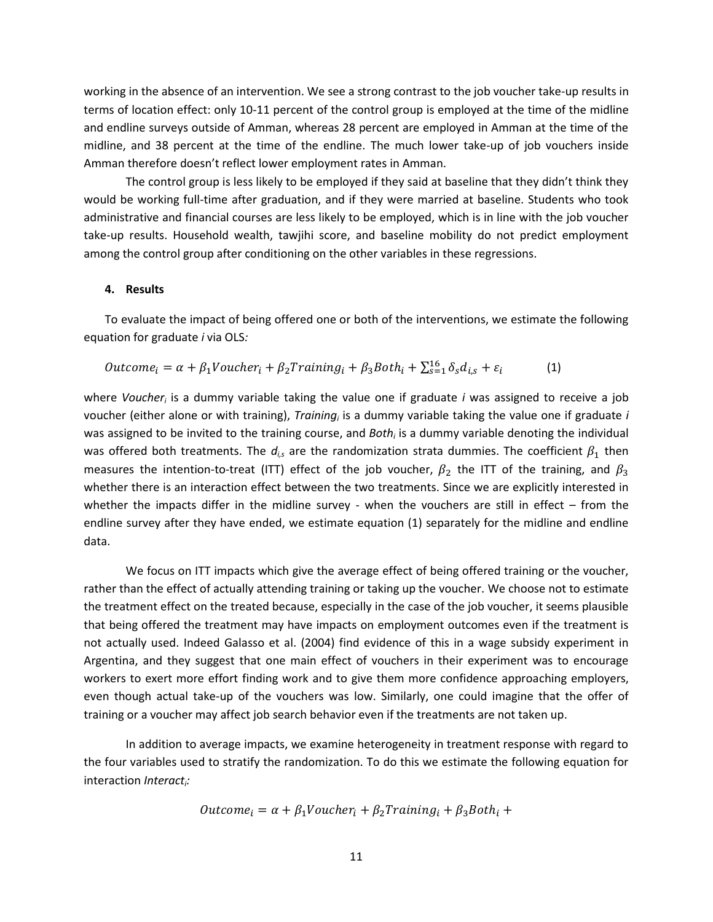working in the absence of an intervention. We see a strong contrast to the job voucher take-up results in terms of location effect: only 10-11 percent of the control group is employed at the time of the midline and endline surveys outside of Amman, whereas 28 percent are employed in Amman at the time of the midline, and 38 percent at the time of the endline. The much lower take-up of job vouchers inside Amman therefore doesn't reflect lower employment rates in Amman.

The control group is less likely to be employed if they said at baseline that they didn't think they would be working full-time after graduation, and if they were married at baseline. Students who took administrative and financial courses are less likely to be employed, which is in line with the job voucher take-up results. Household wealth, tawjihi score, and baseline mobility do not predict employment among the control group after conditioning on the other variables in these regressions.

### **4. Results**

To evaluate the impact of being offered one or both of the interventions, we estimate the following equation for graduate *i* via OLS*:*

$$
Outcome_i = \alpha + \beta_1 Voucher_i + \beta_2 Training_i + \beta_3 Both_i + \sum_{s=1}^{16} \delta_s d_{i,s} + \varepsilon_i
$$
 (1)

where *Voucher<sup>i</sup>* is a dummy variable taking the value one if graduate *i* was assigned to receive a job voucher (either alone or with training), *Training<sup>i</sup>* is a dummy variable taking the value one if graduate *i*  was assigned to be invited to the training course, and *Both<sup>i</sup>* is a dummy variable denoting the individual was offered both treatments. The  $d_{i,s}$  are the randomization strata dummies. The coefficient  $\beta_1$  then measures the intention-to-treat (ITT) effect of the job voucher,  $\beta_2$  the ITT of the training, and  $\beta_3$ whether there is an interaction effect between the two treatments. Since we are explicitly interested in whether the impacts differ in the midline survey - when the vouchers are still in effect – from the endline survey after they have ended, we estimate equation (1) separately for the midline and endline data.

We focus on ITT impacts which give the average effect of being offered training or the voucher, rather than the effect of actually attending training or taking up the voucher. We choose not to estimate the treatment effect on the treated because, especially in the case of the job voucher, it seems plausible that being offered the treatment may have impacts on employment outcomes even if the treatment is not actually used. Indeed Galasso et al. (2004) find evidence of this in a wage subsidy experiment in Argentina, and they suggest that one main effect of vouchers in their experiment was to encourage workers to exert more effort finding work and to give them more confidence approaching employers, even though actual take-up of the vouchers was low. Similarly, one could imagine that the offer of training or a voucher may affect job search behavior even if the treatments are not taken up.

In addition to average impacts, we examine heterogeneity in treatment response with regard to the four variables used to stratify the randomization. To do this we estimate the following equation for interaction *Interact<sup>i</sup> :*

$$
Outcome_i = \alpha + \beta_1 Voucher_i + \beta_2 Training_i + \beta_3 Both_i +
$$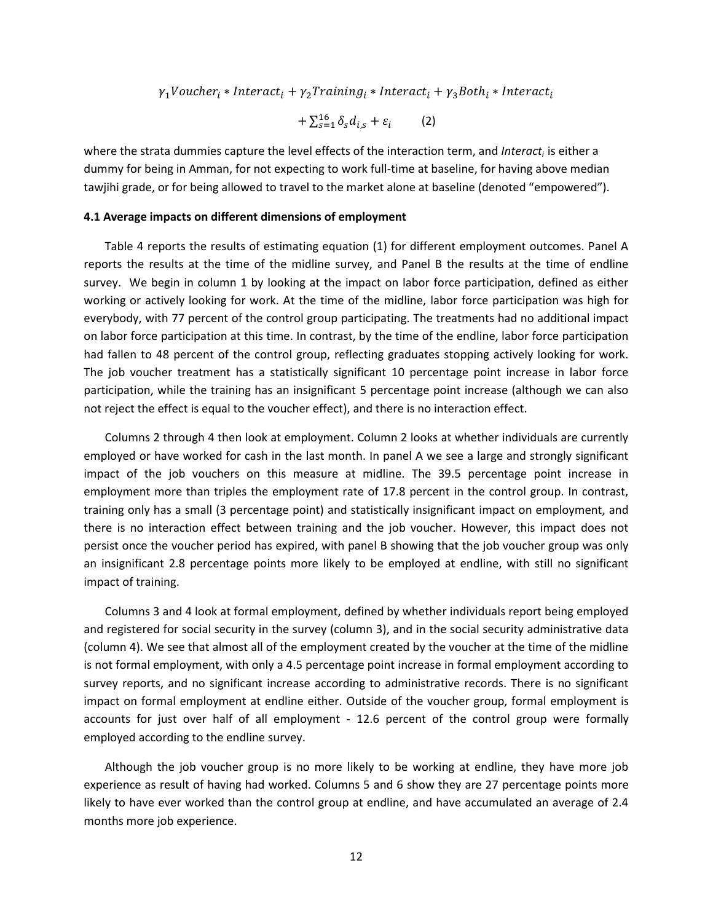$\gamma_1$ Voucher<sub>i</sub> \* Interact<sub>i</sub> +  $\gamma_2$ Training<sub>i</sub> \* Interact<sub>i</sub> +  $\gamma_3$ Both<sub>i</sub> \* Interact<sub>i</sub>

$$
+\sum_{s=1}^{16}\delta_{s}d_{i,s}+\varepsilon_{i}\qquad \quad \ (2)
$$

where the strata dummies capture the level effects of the interaction term, and *Interacti* is either a dummy for being in Amman, for not expecting to work full-time at baseline, for having above median tawjihi grade, or for being allowed to travel to the market alone at baseline (denoted "empowered").

### **4.1 Average impacts on different dimensions of employment**

Table 4 reports the results of estimating equation (1) for different employment outcomes. Panel A reports the results at the time of the midline survey, and Panel B the results at the time of endline survey. We begin in column 1 by looking at the impact on labor force participation, defined as either working or actively looking for work. At the time of the midline, labor force participation was high for everybody, with 77 percent of the control group participating. The treatments had no additional impact on labor force participation at this time. In contrast, by the time of the endline, labor force participation had fallen to 48 percent of the control group, reflecting graduates stopping actively looking for work. The job voucher treatment has a statistically significant 10 percentage point increase in labor force participation, while the training has an insignificant 5 percentage point increase (although we can also not reject the effect is equal to the voucher effect), and there is no interaction effect.

Columns 2 through 4 then look at employment. Column 2 looks at whether individuals are currently employed or have worked for cash in the last month. In panel A we see a large and strongly significant impact of the job vouchers on this measure at midline. The 39.5 percentage point increase in employment more than triples the employment rate of 17.8 percent in the control group. In contrast, training only has a small (3 percentage point) and statistically insignificant impact on employment, and there is no interaction effect between training and the job voucher. However, this impact does not persist once the voucher period has expired, with panel B showing that the job voucher group was only an insignificant 2.8 percentage points more likely to be employed at endline, with still no significant impact of training.

Columns 3 and 4 look at formal employment, defined by whether individuals report being employed and registered for social security in the survey (column 3), and in the social security administrative data (column 4). We see that almost all of the employment created by the voucher at the time of the midline is not formal employment, with only a 4.5 percentage point increase in formal employment according to survey reports, and no significant increase according to administrative records. There is no significant impact on formal employment at endline either. Outside of the voucher group, formal employment is accounts for just over half of all employment - 12.6 percent of the control group were formally employed according to the endline survey.

Although the job voucher group is no more likely to be working at endline, they have more job experience as result of having had worked. Columns 5 and 6 show they are 27 percentage points more likely to have ever worked than the control group at endline, and have accumulated an average of 2.4 months more job experience.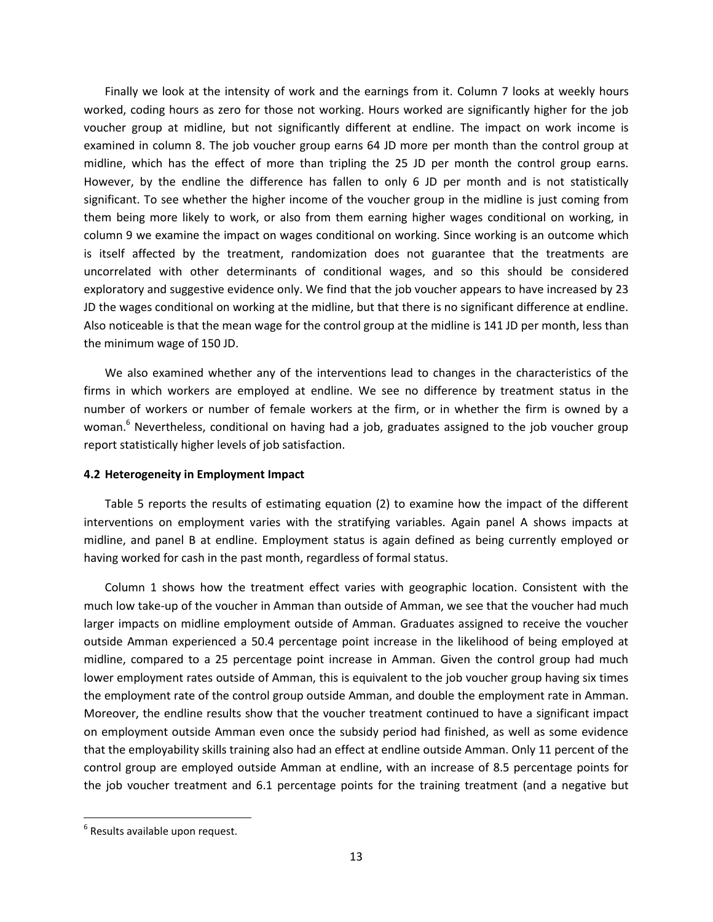Finally we look at the intensity of work and the earnings from it. Column 7 looks at weekly hours worked, coding hours as zero for those not working. Hours worked are significantly higher for the job voucher group at midline, but not significantly different at endline. The impact on work income is examined in column 8. The job voucher group earns 64 JD more per month than the control group at midline, which has the effect of more than tripling the 25 JD per month the control group earns. However, by the endline the difference has fallen to only 6 JD per month and is not statistically significant. To see whether the higher income of the voucher group in the midline is just coming from them being more likely to work, or also from them earning higher wages conditional on working, in column 9 we examine the impact on wages conditional on working. Since working is an outcome which is itself affected by the treatment, randomization does not guarantee that the treatments are uncorrelated with other determinants of conditional wages, and so this should be considered exploratory and suggestive evidence only. We find that the job voucher appears to have increased by 23 JD the wages conditional on working at the midline, but that there is no significant difference at endline. Also noticeable is that the mean wage for the control group at the midline is 141 JD per month, less than the minimum wage of 150 JD.

We also examined whether any of the interventions lead to changes in the characteristics of the firms in which workers are employed at endline. We see no difference by treatment status in the number of workers or number of female workers at the firm, or in whether the firm is owned by a woman.<sup>6</sup> Nevertheless, conditional on having had a job, graduates assigned to the job voucher group report statistically higher levels of job satisfaction.

## **4.2 Heterogeneity in Employment Impact**

Table 5 reports the results of estimating equation (2) to examine how the impact of the different interventions on employment varies with the stratifying variables. Again panel A shows impacts at midline, and panel B at endline. Employment status is again defined as being currently employed or having worked for cash in the past month, regardless of formal status.

Column 1 shows how the treatment effect varies with geographic location. Consistent with the much low take-up of the voucher in Amman than outside of Amman, we see that the voucher had much larger impacts on midline employment outside of Amman. Graduates assigned to receive the voucher outside Amman experienced a 50.4 percentage point increase in the likelihood of being employed at midline, compared to a 25 percentage point increase in Amman. Given the control group had much lower employment rates outside of Amman, this is equivalent to the job voucher group having six times the employment rate of the control group outside Amman, and double the employment rate in Amman. Moreover, the endline results show that the voucher treatment continued to have a significant impact on employment outside Amman even once the subsidy period had finished, as well as some evidence that the employability skills training also had an effect at endline outside Amman. Only 11 percent of the control group are employed outside Amman at endline, with an increase of 8.5 percentage points for the job voucher treatment and 6.1 percentage points for the training treatment (and a negative but

 $\overline{\phantom{a}}$ 

<sup>&</sup>lt;sup>6</sup> Results available upon request.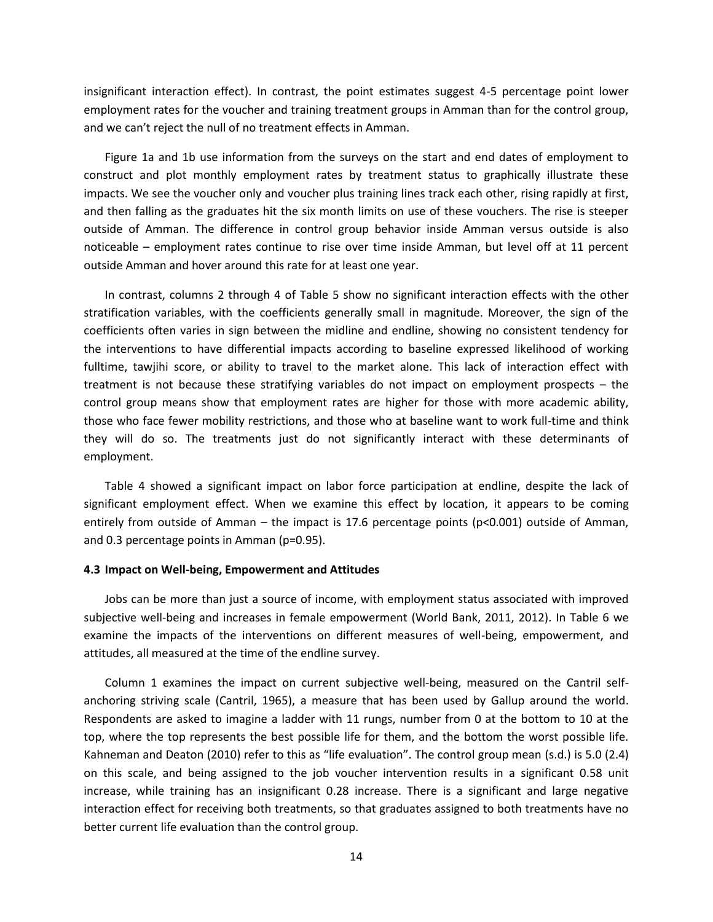insignificant interaction effect). In contrast, the point estimates suggest 4-5 percentage point lower employment rates for the voucher and training treatment groups in Amman than for the control group, and we can't reject the null of no treatment effects in Amman.

Figure 1a and 1b use information from the surveys on the start and end dates of employment to construct and plot monthly employment rates by treatment status to graphically illustrate these impacts. We see the voucher only and voucher plus training lines track each other, rising rapidly at first, and then falling as the graduates hit the six month limits on use of these vouchers. The rise is steeper outside of Amman. The difference in control group behavior inside Amman versus outside is also noticeable – employment rates continue to rise over time inside Amman, but level off at 11 percent outside Amman and hover around this rate for at least one year.

In contrast, columns 2 through 4 of Table 5 show no significant interaction effects with the other stratification variables, with the coefficients generally small in magnitude. Moreover, the sign of the coefficients often varies in sign between the midline and endline, showing no consistent tendency for the interventions to have differential impacts according to baseline expressed likelihood of working fulltime, tawjihi score, or ability to travel to the market alone. This lack of interaction effect with treatment is not because these stratifying variables do not impact on employment prospects – the control group means show that employment rates are higher for those with more academic ability, those who face fewer mobility restrictions, and those who at baseline want to work full-time and think they will do so. The treatments just do not significantly interact with these determinants of employment.

Table 4 showed a significant impact on labor force participation at endline, despite the lack of significant employment effect. When we examine this effect by location, it appears to be coming entirely from outside of Amman – the impact is 17.6 percentage points (p<0.001) outside of Amman, and 0.3 percentage points in Amman (p=0.95).

#### **4.3 Impact on Well-being, Empowerment and Attitudes**

Jobs can be more than just a source of income, with employment status associated with improved subjective well-being and increases in female empowerment (World Bank, 2011, 2012). In Table 6 we examine the impacts of the interventions on different measures of well-being, empowerment, and attitudes, all measured at the time of the endline survey.

Column 1 examines the impact on current subjective well-being, measured on the Cantril selfanchoring striving scale (Cantril, 1965), a measure that has been used by Gallup around the world. Respondents are asked to imagine a ladder with 11 rungs, number from 0 at the bottom to 10 at the top, where the top represents the best possible life for them, and the bottom the worst possible life. Kahneman and Deaton (2010) refer to this as "life evaluation". The control group mean (s.d.) is 5.0 (2.4) on this scale, and being assigned to the job voucher intervention results in a significant 0.58 unit increase, while training has an insignificant 0.28 increase. There is a significant and large negative interaction effect for receiving both treatments, so that graduates assigned to both treatments have no better current life evaluation than the control group.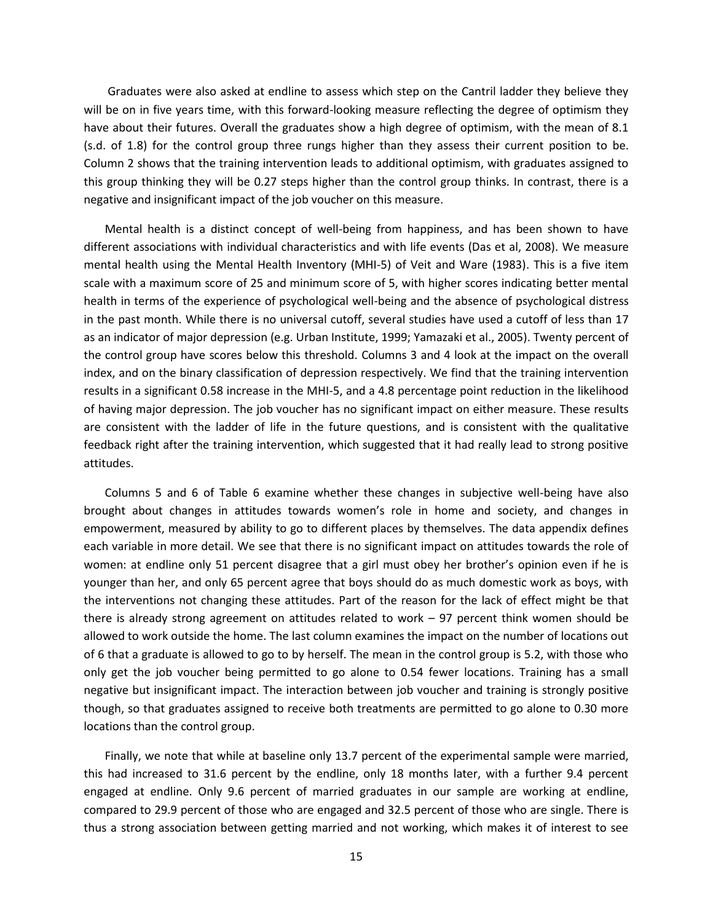Graduates were also asked at endline to assess which step on the Cantril ladder they believe they will be on in five years time, with this forward-looking measure reflecting the degree of optimism they have about their futures. Overall the graduates show a high degree of optimism, with the mean of 8.1 (s.d. of 1.8) for the control group three rungs higher than they assess their current position to be. Column 2 shows that the training intervention leads to additional optimism, with graduates assigned to this group thinking they will be 0.27 steps higher than the control group thinks. In contrast, there is a negative and insignificant impact of the job voucher on this measure.

Mental health is a distinct concept of well-being from happiness, and has been shown to have different associations with individual characteristics and with life events (Das et al, 2008). We measure mental health using the Mental Health Inventory (MHI-5) of Veit and Ware (1983). This is a five item scale with a maximum score of 25 and minimum score of 5, with higher scores indicating better mental health in terms of the experience of psychological well-being and the absence of psychological distress in the past month. While there is no universal cutoff, several studies have used a cutoff of less than 17 as an indicator of major depression (e.g. Urban Institute, 1999; Yamazaki et al., 2005). Twenty percent of the control group have scores below this threshold. Columns 3 and 4 look at the impact on the overall index, and on the binary classification of depression respectively. We find that the training intervention results in a significant 0.58 increase in the MHI-5, and a 4.8 percentage point reduction in the likelihood of having major depression. The job voucher has no significant impact on either measure. These results are consistent with the ladder of life in the future questions, and is consistent with the qualitative feedback right after the training intervention, which suggested that it had really lead to strong positive attitudes.

Columns 5 and 6 of Table 6 examine whether these changes in subjective well-being have also brought about changes in attitudes towards women's role in home and society, and changes in empowerment, measured by ability to go to different places by themselves. The data appendix defines each variable in more detail. We see that there is no significant impact on attitudes towards the role of women: at endline only 51 percent disagree that a girl must obey her brother's opinion even if he is younger than her, and only 65 percent agree that boys should do as much domestic work as boys, with the interventions not changing these attitudes. Part of the reason for the lack of effect might be that there is already strong agreement on attitudes related to work – 97 percent think women should be allowed to work outside the home. The last column examines the impact on the number of locations out of 6 that a graduate is allowed to go to by herself. The mean in the control group is 5.2, with those who only get the job voucher being permitted to go alone to 0.54 fewer locations. Training has a small negative but insignificant impact. The interaction between job voucher and training is strongly positive though, so that graduates assigned to receive both treatments are permitted to go alone to 0.30 more locations than the control group.

Finally, we note that while at baseline only 13.7 percent of the experimental sample were married, this had increased to 31.6 percent by the endline, only 18 months later, with a further 9.4 percent engaged at endline. Only 9.6 percent of married graduates in our sample are working at endline, compared to 29.9 percent of those who are engaged and 32.5 percent of those who are single. There is thus a strong association between getting married and not working, which makes it of interest to see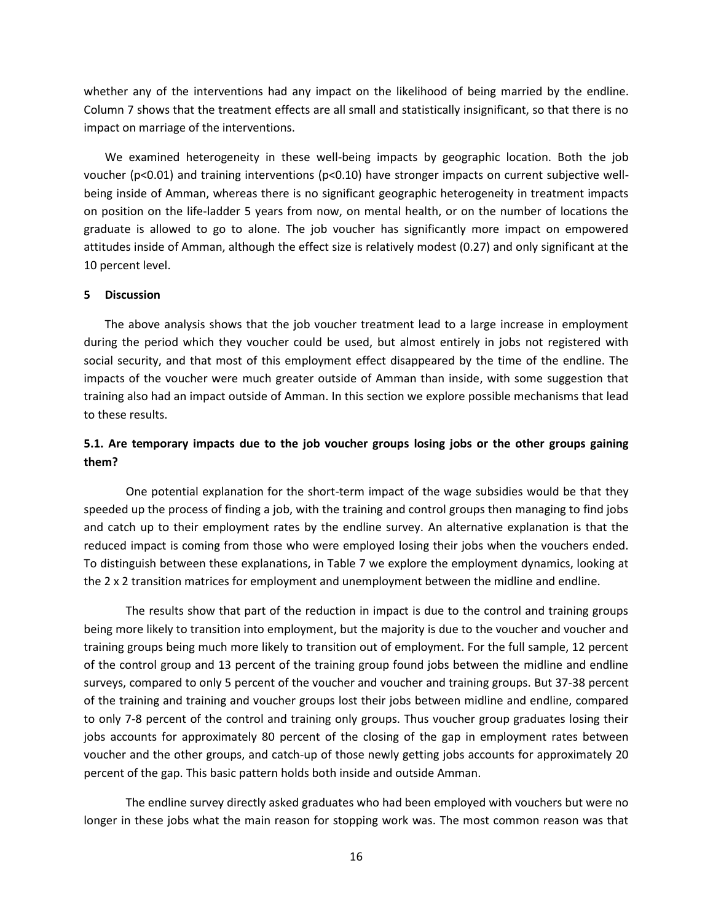whether any of the interventions had any impact on the likelihood of being married by the endline. Column 7 shows that the treatment effects are all small and statistically insignificant, so that there is no impact on marriage of the interventions.

We examined heterogeneity in these well-being impacts by geographic location. Both the job voucher (p<0.01) and training interventions (p<0.10) have stronger impacts on current subjective wellbeing inside of Amman, whereas there is no significant geographic heterogeneity in treatment impacts on position on the life-ladder 5 years from now, on mental health, or on the number of locations the graduate is allowed to go to alone. The job voucher has significantly more impact on empowered attitudes inside of Amman, although the effect size is relatively modest (0.27) and only significant at the 10 percent level.

## **5 Discussion**

The above analysis shows that the job voucher treatment lead to a large increase in employment during the period which they voucher could be used, but almost entirely in jobs not registered with social security, and that most of this employment effect disappeared by the time of the endline. The impacts of the voucher were much greater outside of Amman than inside, with some suggestion that training also had an impact outside of Amman. In this section we explore possible mechanisms that lead to these results.

# **5.1. Are temporary impacts due to the job voucher groups losing jobs or the other groups gaining them?**

One potential explanation for the short-term impact of the wage subsidies would be that they speeded up the process of finding a job, with the training and control groups then managing to find jobs and catch up to their employment rates by the endline survey. An alternative explanation is that the reduced impact is coming from those who were employed losing their jobs when the vouchers ended. To distinguish between these explanations, in Table 7 we explore the employment dynamics, looking at the 2 x 2 transition matrices for employment and unemployment between the midline and endline.

The results show that part of the reduction in impact is due to the control and training groups being more likely to transition into employment, but the majority is due to the voucher and voucher and training groups being much more likely to transition out of employment. For the full sample, 12 percent of the control group and 13 percent of the training group found jobs between the midline and endline surveys, compared to only 5 percent of the voucher and voucher and training groups. But 37-38 percent of the training and training and voucher groups lost their jobs between midline and endline, compared to only 7-8 percent of the control and training only groups. Thus voucher group graduates losing their jobs accounts for approximately 80 percent of the closing of the gap in employment rates between voucher and the other groups, and catch-up of those newly getting jobs accounts for approximately 20 percent of the gap. This basic pattern holds both inside and outside Amman.

The endline survey directly asked graduates who had been employed with vouchers but were no longer in these jobs what the main reason for stopping work was. The most common reason was that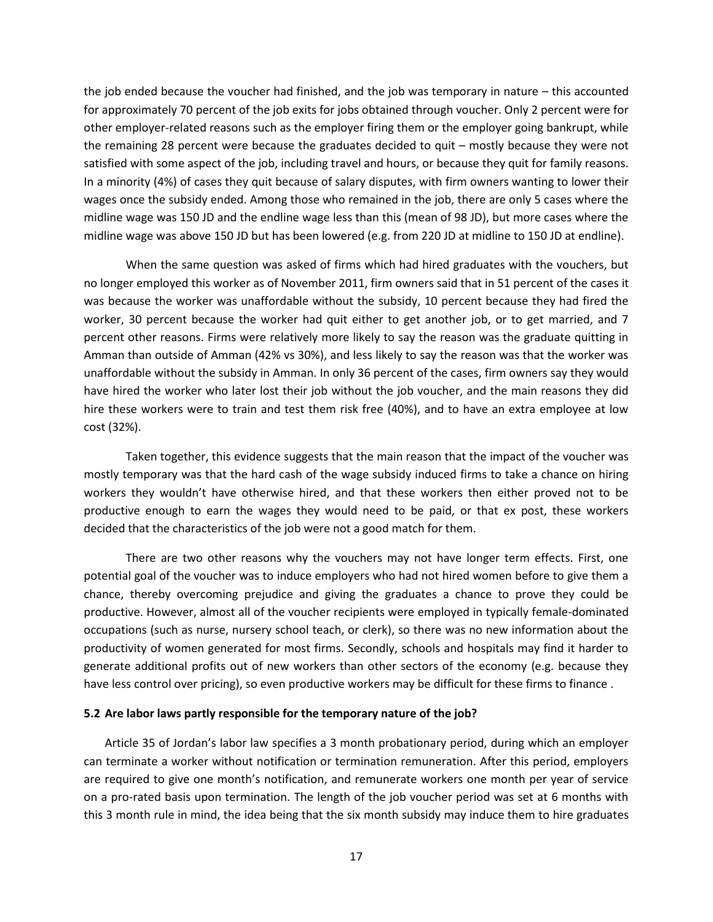the job ended because the voucher had finished, and the job was temporary in nature – this accounted for approximately 70 percent of the job exits for jobs obtained through voucher. Only 2 percent were for other employer-related reasons such as the employer firing them or the employer going bankrupt, while the remaining 28 percent were because the graduates decided to quit – mostly because they were not satisfied with some aspect of the job, including travel and hours, or because they quit for family reasons. In a minority (4%) of cases they quit because of salary disputes, with firm owners wanting to lower their wages once the subsidy ended. Among those who remained in the job, there are only 5 cases where the midline wage was 150 JD and the endline wage less than this (mean of 98 JD), but more cases where the midline wage was above 150 JD but has been lowered (e.g. from 220 JD at midline to 150 JD at endline).

When the same question was asked of firms which had hired graduates with the vouchers, but no longer employed this worker as of November 2011, firm owners said that in 51 percent of the cases it was because the worker was unaffordable without the subsidy, 10 percent because they had fired the worker, 30 percent because the worker had quit either to get another job, or to get married, and 7 percent other reasons. Firms were relatively more likely to say the reason was the graduate quitting in Amman than outside of Amman (42% vs 30%), and less likely to say the reason was that the worker was unaffordable without the subsidy in Amman. In only 36 percent of the cases, firm owners say they would have hired the worker who later lost their job without the job voucher, and the main reasons they did hire these workers were to train and test them risk free (40%), and to have an extra employee at low cost (32%).

Taken together, this evidence suggests that the main reason that the impact of the voucher was mostly temporary was that the hard cash of the wage subsidy induced firms to take a chance on hiring workers they wouldn't have otherwise hired, and that these workers then either proved not to be productive enough to earn the wages they would need to be paid, or that ex post, these workers decided that the characteristics of the job were not a good match for them.

There are two other reasons why the vouchers may not have longer term effects. First, one potential goal of the voucher was to induce employers who had not hired women before to give them a chance, thereby overcoming prejudice and giving the graduates a chance to prove they could be productive. However, almost all of the voucher recipients were employed in typically female-dominated occupations (such as nurse, nursery school teach, or clerk), so there was no new information about the productivity of women generated for most firms. Secondly, schools and hospitals may find it harder to generate additional profits out of new workers than other sectors of the economy (e.g. because they have less control over pricing), so even productive workers may be difficult for these firms to finance .

#### **5.2 Are labor laws partly responsible for the temporary nature of the job?**

Article 35 of Jordan's labor law specifies a 3 month probationary period, during which an employer can terminate a worker without notification or termination remuneration. After this period, employers are required to give one month's notification, and remunerate workers one month per year of service on a pro-rated basis upon termination. The length of the job voucher period was set at 6 months with this 3 month rule in mind, the idea being that the six month subsidy may induce them to hire graduates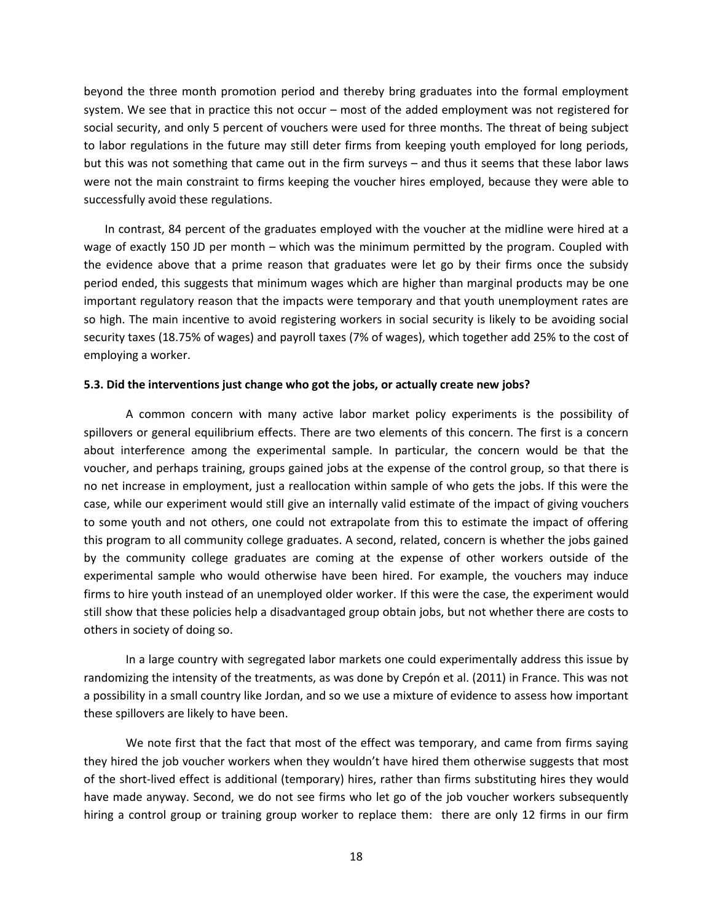beyond the three month promotion period and thereby bring graduates into the formal employment system. We see that in practice this not occur – most of the added employment was not registered for social security, and only 5 percent of vouchers were used for three months. The threat of being subject to labor regulations in the future may still deter firms from keeping youth employed for long periods, but this was not something that came out in the firm surveys – and thus it seems that these labor laws were not the main constraint to firms keeping the voucher hires employed, because they were able to successfully avoid these regulations.

In contrast, 84 percent of the graduates employed with the voucher at the midline were hired at a wage of exactly 150 JD per month – which was the minimum permitted by the program. Coupled with the evidence above that a prime reason that graduates were let go by their firms once the subsidy period ended, this suggests that minimum wages which are higher than marginal products may be one important regulatory reason that the impacts were temporary and that youth unemployment rates are so high. The main incentive to avoid registering workers in social security is likely to be avoiding social security taxes (18.75% of wages) and payroll taxes (7% of wages), which together add 25% to the cost of employing a worker.

### **5.3. Did the interventions just change who got the jobs, or actually create new jobs?**

A common concern with many active labor market policy experiments is the possibility of spillovers or general equilibrium effects. There are two elements of this concern. The first is a concern about interference among the experimental sample. In particular, the concern would be that the voucher, and perhaps training, groups gained jobs at the expense of the control group, so that there is no net increase in employment, just a reallocation within sample of who gets the jobs. If this were the case, while our experiment would still give an internally valid estimate of the impact of giving vouchers to some youth and not others, one could not extrapolate from this to estimate the impact of offering this program to all community college graduates. A second, related, concern is whether the jobs gained by the community college graduates are coming at the expense of other workers outside of the experimental sample who would otherwise have been hired. For example, the vouchers may induce firms to hire youth instead of an unemployed older worker. If this were the case, the experiment would still show that these policies help a disadvantaged group obtain jobs, but not whether there are costs to others in society of doing so.

In a large country with segregated labor markets one could experimentally address this issue by randomizing the intensity of the treatments, as was done by Crepón et al. (2011) in France. This was not a possibility in a small country like Jordan, and so we use a mixture of evidence to assess how important these spillovers are likely to have been.

We note first that the fact that most of the effect was temporary, and came from firms saying they hired the job voucher workers when they wouldn't have hired them otherwise suggests that most of the short-lived effect is additional (temporary) hires, rather than firms substituting hires they would have made anyway. Second, we do not see firms who let go of the job voucher workers subsequently hiring a control group or training group worker to replace them: there are only 12 firms in our firm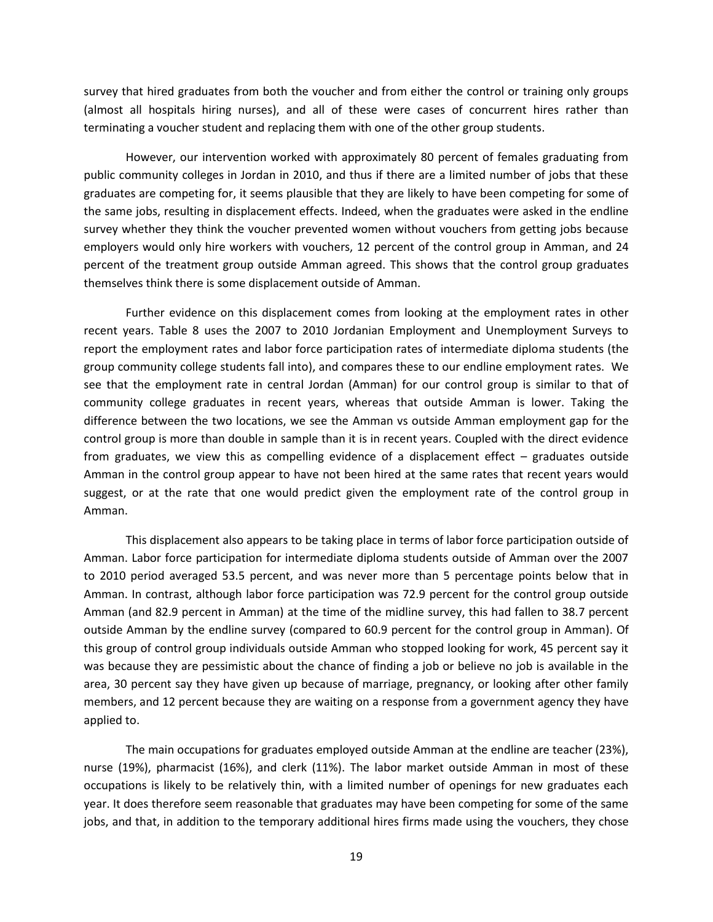survey that hired graduates from both the voucher and from either the control or training only groups (almost all hospitals hiring nurses), and all of these were cases of concurrent hires rather than terminating a voucher student and replacing them with one of the other group students.

However, our intervention worked with approximately 80 percent of females graduating from public community colleges in Jordan in 2010, and thus if there are a limited number of jobs that these graduates are competing for, it seems plausible that they are likely to have been competing for some of the same jobs, resulting in displacement effects. Indeed, when the graduates were asked in the endline survey whether they think the voucher prevented women without vouchers from getting jobs because employers would only hire workers with vouchers, 12 percent of the control group in Amman, and 24 percent of the treatment group outside Amman agreed. This shows that the control group graduates themselves think there is some displacement outside of Amman.

Further evidence on this displacement comes from looking at the employment rates in other recent years. Table 8 uses the 2007 to 2010 Jordanian Employment and Unemployment Surveys to report the employment rates and labor force participation rates of intermediate diploma students (the group community college students fall into), and compares these to our endline employment rates. We see that the employment rate in central Jordan (Amman) for our control group is similar to that of community college graduates in recent years, whereas that outside Amman is lower. Taking the difference between the two locations, we see the Amman vs outside Amman employment gap for the control group is more than double in sample than it is in recent years. Coupled with the direct evidence from graduates, we view this as compelling evidence of a displacement effect – graduates outside Amman in the control group appear to have not been hired at the same rates that recent years would suggest, or at the rate that one would predict given the employment rate of the control group in Amman.

This displacement also appears to be taking place in terms of labor force participation outside of Amman. Labor force participation for intermediate diploma students outside of Amman over the 2007 to 2010 period averaged 53.5 percent, and was never more than 5 percentage points below that in Amman. In contrast, although labor force participation was 72.9 percent for the control group outside Amman (and 82.9 percent in Amman) at the time of the midline survey, this had fallen to 38.7 percent outside Amman by the endline survey (compared to 60.9 percent for the control group in Amman). Of this group of control group individuals outside Amman who stopped looking for work, 45 percent say it was because they are pessimistic about the chance of finding a job or believe no job is available in the area, 30 percent say they have given up because of marriage, pregnancy, or looking after other family members, and 12 percent because they are waiting on a response from a government agency they have applied to.

The main occupations for graduates employed outside Amman at the endline are teacher (23%), nurse (19%), pharmacist (16%), and clerk (11%). The labor market outside Amman in most of these occupations is likely to be relatively thin, with a limited number of openings for new graduates each year. It does therefore seem reasonable that graduates may have been competing for some of the same jobs, and that, in addition to the temporary additional hires firms made using the vouchers, they chose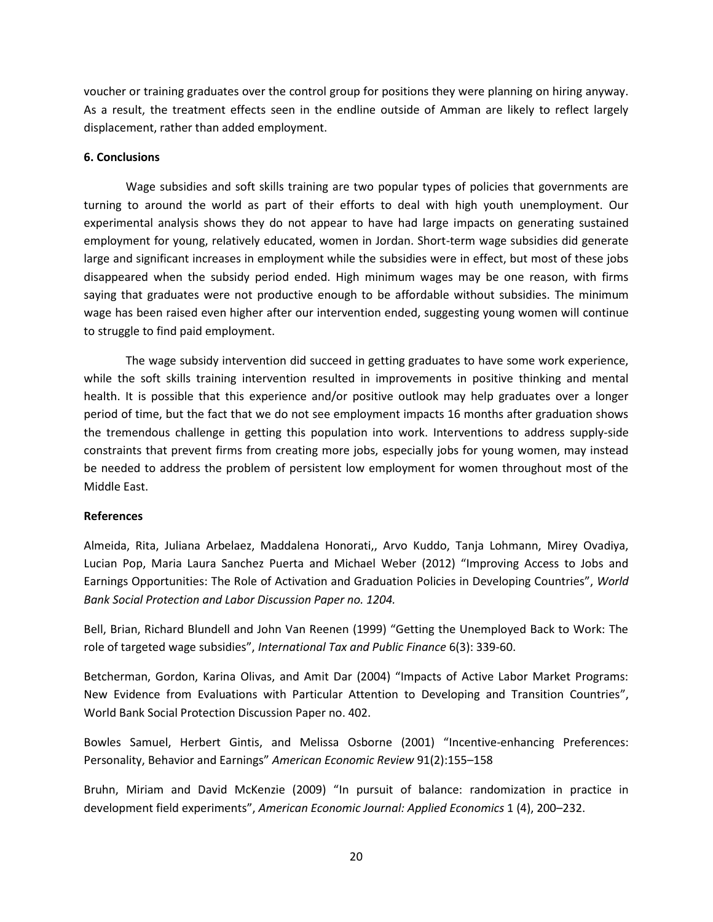voucher or training graduates over the control group for positions they were planning on hiring anyway. As a result, the treatment effects seen in the endline outside of Amman are likely to reflect largely displacement, rather than added employment.

## **6. Conclusions**

Wage subsidies and soft skills training are two popular types of policies that governments are turning to around the world as part of their efforts to deal with high youth unemployment. Our experimental analysis shows they do not appear to have had large impacts on generating sustained employment for young, relatively educated, women in Jordan. Short-term wage subsidies did generate large and significant increases in employment while the subsidies were in effect, but most of these jobs disappeared when the subsidy period ended. High minimum wages may be one reason, with firms saying that graduates were not productive enough to be affordable without subsidies. The minimum wage has been raised even higher after our intervention ended, suggesting young women will continue to struggle to find paid employment.

The wage subsidy intervention did succeed in getting graduates to have some work experience, while the soft skills training intervention resulted in improvements in positive thinking and mental health. It is possible that this experience and/or positive outlook may help graduates over a longer period of time, but the fact that we do not see employment impacts 16 months after graduation shows the tremendous challenge in getting this population into work. Interventions to address supply-side constraints that prevent firms from creating more jobs, especially jobs for young women, may instead be needed to address the problem of persistent low employment for women throughout most of the Middle East.

## **References**

Almeida, Rita, Juliana Arbelaez, Maddalena Honorati,, Arvo Kuddo, Tanja Lohmann, Mirey Ovadiya, Lucian Pop, Maria Laura Sanchez Puerta and Michael Weber (2012) "Improving Access to Jobs and Earnings Opportunities: The Role of Activation and Graduation Policies in Developing Countries", *World Bank Social Protection and Labor Discussion Paper no. 1204.*

Bell, Brian, Richard Blundell and John Van Reenen (1999) "Getting the Unemployed Back to Work: The role of targeted wage subsidies", *International Tax and Public Finance* 6(3): 339-60.

Betcherman, Gordon, Karina Olivas, and Amit Dar (2004) "Impacts of Active Labor Market Programs: New Evidence from Evaluations with Particular Attention to Developing and Transition Countries", World Bank Social Protection Discussion Paper no. 402.

Bowles Samuel, Herbert Gintis, and Melissa Osborne (2001) "Incentive-enhancing Preferences: Personality, Behavior and Earnings" *American Economic Review* 91(2):155–158

Bruhn, Miriam and David McKenzie (2009) "In pursuit of balance: randomization in practice in development field experiments", *American Economic Journal: Applied Economics* 1 (4), 200–232.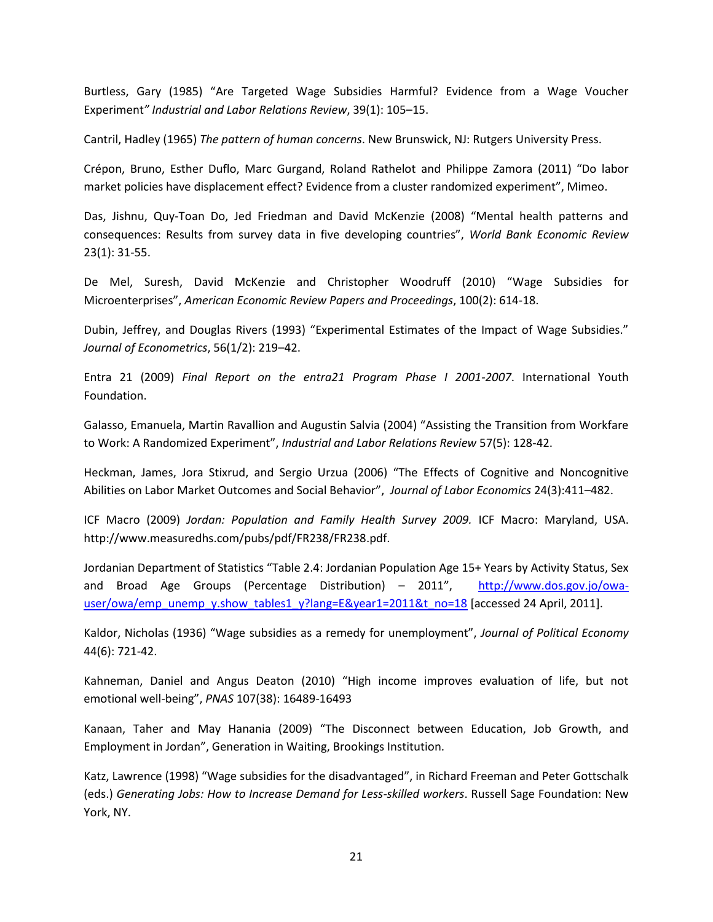Burtless, Gary (1985) "Are Targeted Wage Subsidies Harmful? Evidence from a Wage Voucher Experiment*" Industrial and Labor Relations Review*, 39(1): 105–15.

Cantril, Hadley (1965) *The pattern of human concerns*. New Brunswick, NJ: Rutgers University Press.

Crépon, Bruno, Esther Duflo, Marc Gurgand, Roland Rathelot and Philippe Zamora (2011) "Do labor market policies have displacement effect? Evidence from a cluster randomized experiment", Mimeo.

Das, Jishnu, Quy-Toan Do, Jed Friedman and David McKenzie (2008) "Mental health patterns and consequences: Results from survey data in five developing countries", *World Bank Economic Review*  23(1): 31-55.

De Mel, Suresh, David McKenzie and Christopher Woodruff (2010) "Wage Subsidies for Microenterprises", *American Economic Review Papers and Proceedings*, 100(2): 614-18.

Dubin, Jeffrey, and Douglas Rivers (1993) "Experimental Estimates of the Impact of Wage Subsidies." *Journal of Econometrics*, 56(1/2): 219–42.

Entra 21 (2009) *Final Report on the entra21 Program Phase I 2001-2007*. International Youth Foundation.

Galasso, Emanuela, Martin Ravallion and Augustin Salvia (2004) "Assisting the Transition from Workfare to Work: A Randomized Experiment", *Industrial and Labor Relations Review* 57(5): 128-42.

Heckman, James, Jora Stixrud, and Sergio Urzua (2006) "The Effects of Cognitive and Noncognitive Abilities on Labor Market Outcomes and Social Behavior", *Journal of Labor Economics* 24(3):411–482.

ICF Macro (2009) *Jordan: Population and Family Health Survey 2009.* ICF Macro: Maryland, USA. http://www.measuredhs.com/pubs/pdf/FR238/FR238.pdf.

Jordanian Department of Statistics "Table 2.4: Jordanian Population Age 15+ Years by Activity Status, Sex and Broad Age Groups (Percentage Distribution) – 2011", [http://www.dos.gov.jo/owa](http://www.dos.gov.jo/owa-user/owa/emp_unemp_y.show_tables1_y?lang=E&year1=2011&t_no=18)[user/owa/emp\\_unemp\\_y.show\\_tables1\\_y?lang=E&year1=2011&t\\_no=18](http://www.dos.gov.jo/owa-user/owa/emp_unemp_y.show_tables1_y?lang=E&year1=2011&t_no=18) [accessed 24 April, 2011].

Kaldor, Nicholas (1936) "Wage subsidies as a remedy for unemployment", *Journal of Political Economy*  44(6): 721-42.

Kahneman, Daniel and Angus Deaton (2010) "High income improves evaluation of life, but not emotional well-being", *PNAS* 107(38): 16489-16493

Kanaan, Taher and May Hanania (2009) "The Disconnect between Education, Job Growth, and Employment in Jordan", Generation in Waiting, Brookings Institution.

Katz, Lawrence (1998) "Wage subsidies for the disadvantaged", in Richard Freeman and Peter Gottschalk (eds.) *Generating Jobs: How to Increase Demand for Less-skilled workers*. Russell Sage Foundation: New York, NY.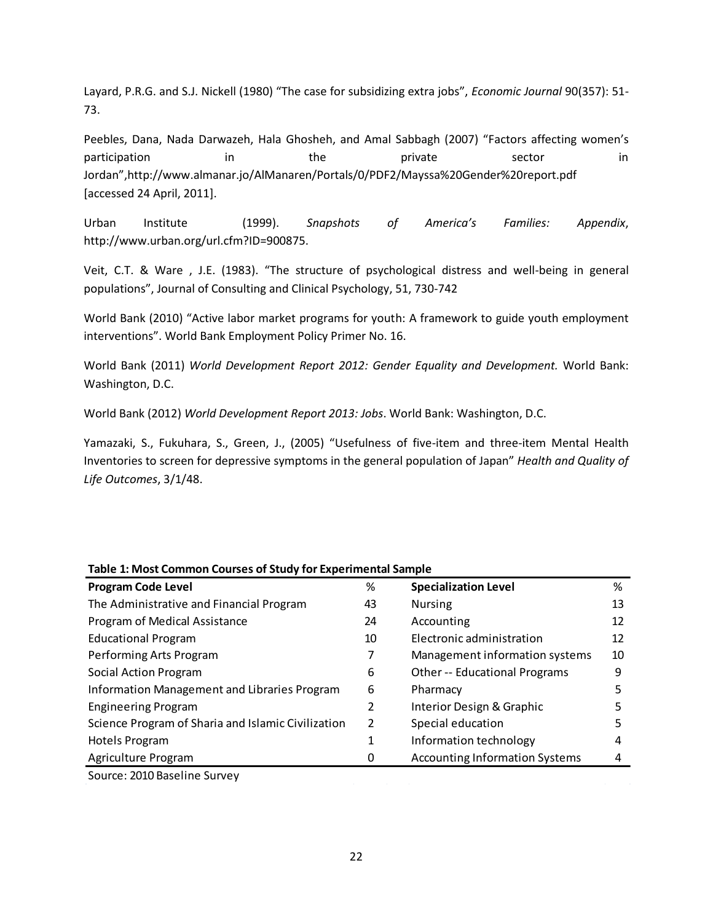Layard, P.R.G. and S.J. Nickell (1980) "The case for subsidizing extra jobs", *Economic Journal* 90(357): 51- 73.

Peebles, Dana, Nada Darwazeh, Hala Ghosheh, and Amal Sabbagh (2007) "Factors affecting women's participation in the private sector in Jordan",http://www.almanar.jo/AlManaren/Portals/0/PDF2/Mayssa%20Gender%20report.pdf [accessed 24 April, 2011].

Urban Institute (1999). *Snapshots of America's Families: Appendix*, http://www.urban.org/url.cfm?ID=900875.

Veit, C.T. & Ware , J.E. (1983). "The structure of psychological distress and well-being in general populations", Journal of Consulting and Clinical Psychology, 51, 730-742

World Bank (2010) "Active labor market programs for youth: A framework to guide youth employment interventions". World Bank Employment Policy Primer No. 16.

World Bank (2011) *World Development Report 2012: Gender Equality and Development.* World Bank: Washington, D.C.

World Bank (2012) *World Development Report 2013: Jobs*. World Bank: Washington, D.C.

Yamazaki, S., Fukuhara, S., Green, J., (2005) "Usefulness of five-item and three-item Mental Health Inventories to screen for depressive symptoms in the general population of Japan" *Health and Quality of Life Outcomes*, 3/1/48.

| Table 1: Most Common Courses of Study for Experimental Sample |    |                                       |    |  |  |  |  |  |
|---------------------------------------------------------------|----|---------------------------------------|----|--|--|--|--|--|
| <b>Program Code Level</b>                                     | %  | <b>Specialization Level</b>           | %  |  |  |  |  |  |
| The Administrative and Financial Program                      | 43 | <b>Nursing</b>                        | 13 |  |  |  |  |  |
| Program of Medical Assistance                                 | 24 | Accounting                            | 12 |  |  |  |  |  |
| <b>Educational Program</b>                                    | 10 | Electronic administration             | 12 |  |  |  |  |  |
| Performing Arts Program                                       |    | Management information systems        | 10 |  |  |  |  |  |
| Social Action Program                                         | 6  | <b>Other -- Educational Programs</b>  | 9  |  |  |  |  |  |
| Information Management and Libraries Program                  | 6  | Pharmacy                              | 5  |  |  |  |  |  |
| <b>Engineering Program</b>                                    | 2  | Interior Design & Graphic             |    |  |  |  |  |  |
| Science Program of Sharia and Islamic Civilization            |    | Special education                     | 5  |  |  |  |  |  |
| Hotels Program                                                | 1  | Information technology                | 4  |  |  |  |  |  |
| Agriculture Program                                           | O  | <b>Accounting Information Systems</b> |    |  |  |  |  |  |
|                                                               |    |                                       |    |  |  |  |  |  |

# **Table 1: Most Common Courses of Study for Experimental Sample**

Source: 2010 Baseline Survey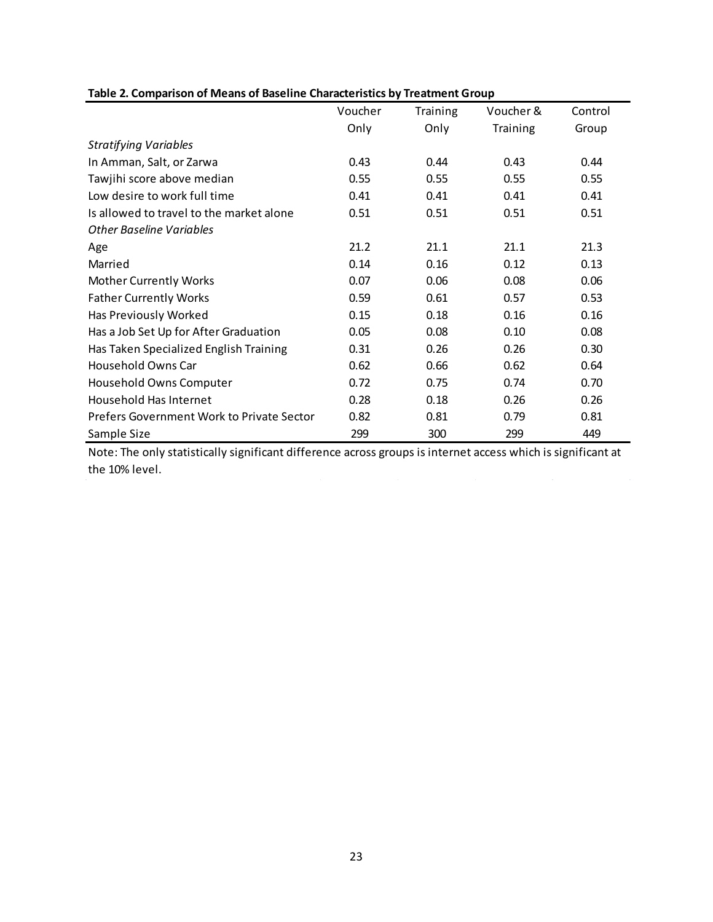|                                           | Voucher | <b>Training</b> | Voucher & | Control |
|-------------------------------------------|---------|-----------------|-----------|---------|
|                                           | Only    | Only            | Training  | Group   |
| <b>Stratifying Variables</b>              |         |                 |           |         |
| In Amman, Salt, or Zarwa                  | 0.43    | 0.44            | 0.43      | 0.44    |
| Tawjihi score above median                | 0.55    | 0.55            | 0.55      | 0.55    |
| Low desire to work full time              | 0.41    | 0.41            | 0.41      | 0.41    |
| Is allowed to travel to the market alone  | 0.51    | 0.51            | 0.51      | 0.51    |
| <b>Other Baseline Variables</b>           |         |                 |           |         |
| Age                                       | 21.2    | 21.1            | 21.1      | 21.3    |
| Married                                   | 0.14    | 0.16            | 0.12      | 0.13    |
| <b>Mother Currently Works</b>             | 0.07    | 0.06            | 0.08      | 0.06    |
| <b>Father Currently Works</b>             | 0.59    | 0.61            | 0.57      | 0.53    |
| Has Previously Worked                     | 0.15    | 0.18            | 0.16      | 0.16    |
| Has a Job Set Up for After Graduation     | 0.05    | 0.08            | 0.10      | 0.08    |
| Has Taken Specialized English Training    | 0.31    | 0.26            | 0.26      | 0.30    |
| Household Owns Car                        | 0.62    | 0.66            | 0.62      | 0.64    |
| Household Owns Computer                   | 0.72    | 0.75            | 0.74      | 0.70    |
| Household Has Internet                    | 0.28    | 0.18            | 0.26      | 0.26    |
| Prefers Government Work to Private Sector | 0.82    | 0.81            | 0.79      | 0.81    |
| Sample Size                               | 299     | 300             | 299       | 449     |

## **Table 2. Comparison of Means of Baseline Characteristics by Treatment Group**

Note: The only statistically significant difference across groups is internet access which is significant at the 10% level.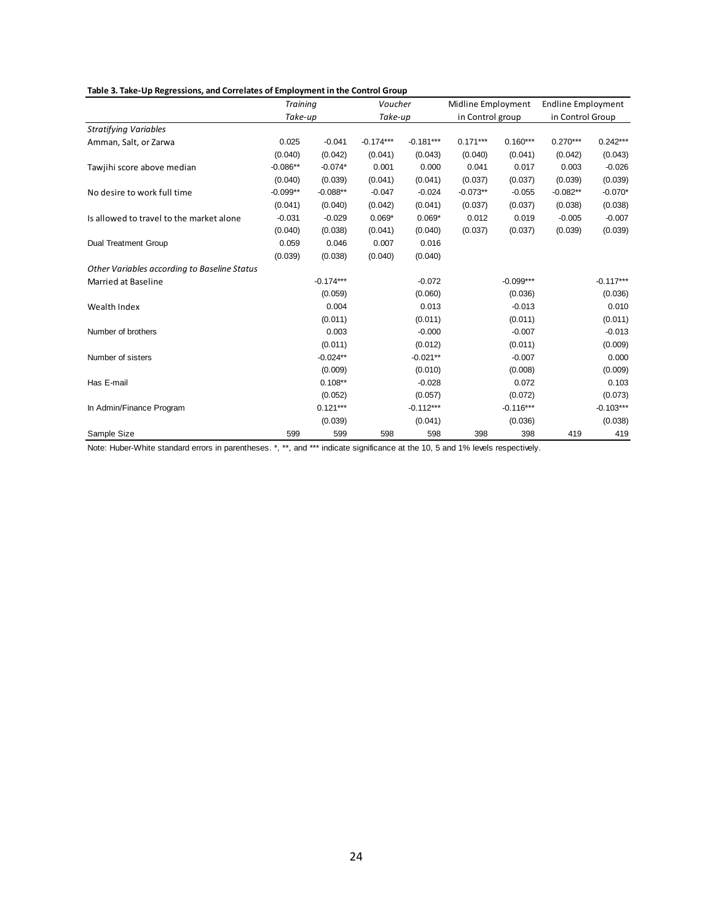|                                              | <b>Training</b> |             |             | Voucher     |                  | Midline Employment | <b>Endline Employment</b> |             |
|----------------------------------------------|-----------------|-------------|-------------|-------------|------------------|--------------------|---------------------------|-------------|
|                                              | Take-up         |             | Take-up     |             | in Control group |                    | in Control Group          |             |
| <b>Stratifying Variables</b>                 |                 |             |             |             |                  |                    |                           |             |
| Amman, Salt, or Zarwa                        | 0.025           | $-0.041$    | $-0.174***$ | $-0.181***$ | $0.171***$       | $0.160***$         | $0.270***$                | $0.242***$  |
|                                              | (0.040)         | (0.042)     | (0.041)     | (0.043)     | (0.040)          | (0.041)            | (0.042)                   | (0.043)     |
| Tawjihi score above median                   | $-0.086**$      | $-0.074*$   | 0.001       | 0.000       | 0.041            | 0.017              | 0.003                     | $-0.026$    |
|                                              | (0.040)         | (0.039)     | (0.041)     | (0.041)     | (0.037)          | (0.037)            | (0.039)                   | (0.039)     |
| No desire to work full time                  | $-0.099**$      | $-0.088**$  | $-0.047$    | $-0.024$    | $-0.073**$       | $-0.055$           | $-0.082**$                | $-0.070*$   |
|                                              | (0.041)         | (0.040)     | (0.042)     | (0.041)     | (0.037)          | (0.037)            | (0.038)                   | (0.038)     |
| Is allowed to travel to the market alone     | $-0.031$        | $-0.029$    | $0.069*$    | $0.069*$    | 0.012            | 0.019              | $-0.005$                  | $-0.007$    |
|                                              | (0.040)         | (0.038)     | (0.041)     | (0.040)     | (0.037)          | (0.037)            | (0.039)                   | (0.039)     |
| <b>Dual Treatment Group</b>                  | 0.059           | 0.046       | 0.007       | 0.016       |                  |                    |                           |             |
|                                              | (0.039)         | (0.038)     | (0.040)     | (0.040)     |                  |                    |                           |             |
| Other Variables according to Baseline Status |                 |             |             |             |                  |                    |                           |             |
| Married at Baseline                          |                 | $-0.174***$ |             | $-0.072$    |                  | $-0.099***$        |                           | $-0.117***$ |
|                                              |                 | (0.059)     |             | (0.060)     |                  | (0.036)            |                           | (0.036)     |
| Wealth Index                                 |                 | 0.004       |             | 0.013       |                  | $-0.013$           |                           | 0.010       |
|                                              |                 | (0.011)     |             | (0.011)     |                  | (0.011)            |                           | (0.011)     |
| Number of brothers                           |                 | 0.003       |             | $-0.000$    |                  | $-0.007$           |                           | $-0.013$    |
|                                              |                 | (0.011)     |             | (0.012)     |                  | (0.011)            |                           | (0.009)     |
| Number of sisters                            |                 | $-0.024**$  |             | $-0.021**$  |                  | $-0.007$           |                           | 0.000       |
|                                              |                 | (0.009)     |             | (0.010)     |                  | (0.008)            |                           | (0.009)     |
| Has E-mail                                   |                 | $0.108**$   |             | $-0.028$    |                  | 0.072              |                           | 0.103       |
|                                              |                 | (0.052)     |             | (0.057)     |                  | (0.072)            |                           | (0.073)     |
| In Admin/Finance Program                     |                 | $0.121***$  |             | $-0.112***$ |                  | $-0.116***$        |                           | $-0.103***$ |
|                                              |                 | (0.039)     |             | (0.041)     |                  | (0.036)            |                           | (0.038)     |
| Sample Size                                  | 599             | 599         | 598         | 598         | 398              | 398                | 419                       | 419         |

Note: Huber-White standard errors in parentheses. \*, \*\*, and \*\*\* indicate significance at the 10, 5 and 1% levels respectively.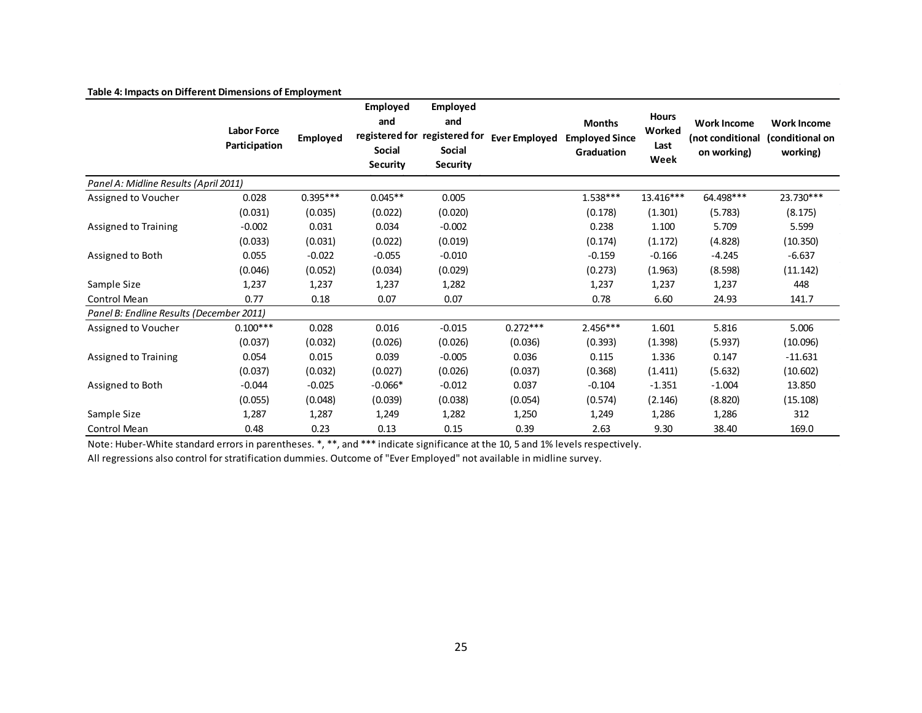|                                          | <b>Labor Force</b><br>Participation | Employed   | Employed<br>and<br>Social<br><b>Security</b> | Employed<br>and<br>registered for registered for<br>Social<br>Security | <b>Ever Employed</b> | <b>Months</b><br><b>Employed Since</b><br>Graduation | <b>Hours</b><br>Worked<br>Last<br>Week | <b>Work Income</b><br>(not conditional<br>on working) | <b>Work Income</b><br>(conditional on<br>working) |
|------------------------------------------|-------------------------------------|------------|----------------------------------------------|------------------------------------------------------------------------|----------------------|------------------------------------------------------|----------------------------------------|-------------------------------------------------------|---------------------------------------------------|
| Panel A: Midline Results (April 2011)    |                                     |            |                                              |                                                                        |                      |                                                      |                                        |                                                       |                                                   |
| Assigned to Voucher                      | 0.028                               | $0.395***$ | $0.045**$                                    | 0.005                                                                  |                      | $1.538***$                                           | $13.416***$                            | 64.498***                                             | 23.730***                                         |
|                                          | (0.031)                             | (0.035)    | (0.022)                                      | (0.020)                                                                |                      | (0.178)                                              | (1.301)                                | (5.783)                                               | (8.175)                                           |
| Assigned to Training                     | $-0.002$                            | 0.031      | 0.034                                        | $-0.002$                                                               |                      | 0.238                                                | 1.100                                  | 5.709                                                 | 5.599                                             |
|                                          | (0.033)                             | (0.031)    | (0.022)                                      | (0.019)                                                                |                      | (0.174)                                              | (1.172)                                | (4.828)                                               | (10.350)                                          |
| Assigned to Both                         | 0.055                               | $-0.022$   | $-0.055$                                     | $-0.010$                                                               |                      | $-0.159$                                             | $-0.166$                               | $-4.245$                                              | $-6.637$                                          |
|                                          | (0.046)                             | (0.052)    | (0.034)                                      | (0.029)                                                                |                      | (0.273)                                              | (1.963)                                | (8.598)                                               | (11.142)                                          |
| Sample Size                              | 1,237                               | 1,237      | 1,237                                        | 1,282                                                                  |                      | 1,237                                                | 1,237                                  | 1,237                                                 | 448                                               |
| Control Mean                             | 0.77                                | 0.18       | 0.07                                         | 0.07                                                                   |                      | 0.78                                                 | 6.60                                   | 24.93                                                 | 141.7                                             |
| Panel B: Endline Results (December 2011) |                                     |            |                                              |                                                                        |                      |                                                      |                                        |                                                       |                                                   |
| Assigned to Voucher                      | $0.100***$                          | 0.028      | 0.016                                        | $-0.015$                                                               | $0.272***$           | 2.456***                                             | 1.601                                  | 5.816                                                 | 5.006                                             |
|                                          | (0.037)                             | (0.032)    | (0.026)                                      | (0.026)                                                                | (0.036)              | (0.393)                                              | (1.398)                                | (5.937)                                               | (10.096)                                          |
| Assigned to Training                     | 0.054                               | 0.015      | 0.039                                        | $-0.005$                                                               | 0.036                | 0.115                                                | 1.336                                  | 0.147                                                 | $-11.631$                                         |
|                                          | (0.037)                             | (0.032)    | (0.027)                                      | (0.026)                                                                | (0.037)              | (0.368)                                              | (1.411)                                | (5.632)                                               | (10.602)                                          |
| Assigned to Both                         | $-0.044$                            | $-0.025$   | $-0.066*$                                    | $-0.012$                                                               | 0.037                | $-0.104$                                             | $-1.351$                               | $-1.004$                                              | 13.850                                            |
|                                          | (0.055)                             | (0.048)    | (0.039)                                      | (0.038)                                                                | (0.054)              | (0.574)                                              | (2.146)                                | (8.820)                                               | (15.108)                                          |
| Sample Size                              | 1,287                               | 1,287      | 1,249                                        | 1,282                                                                  | 1,250                | 1,249                                                | 1,286                                  | 1,286                                                 | 312                                               |
| Control Mean                             | 0.48                                | 0.23       | 0.13                                         | 0.15                                                                   | 0.39                 | 2.63                                                 | 9.30                                   | 38.40                                                 | 169.0                                             |

### **Table 4: Impacts on Different Dimensions of Employment**

Note: Huber-White standard errors in parentheses. \*, \*\*, and \*\*\* indicate significance at the 10, 5 and 1% levels respectively.

All regressions also control for stratification dummies. Outcome of "Ever Employed" not available in midline survey.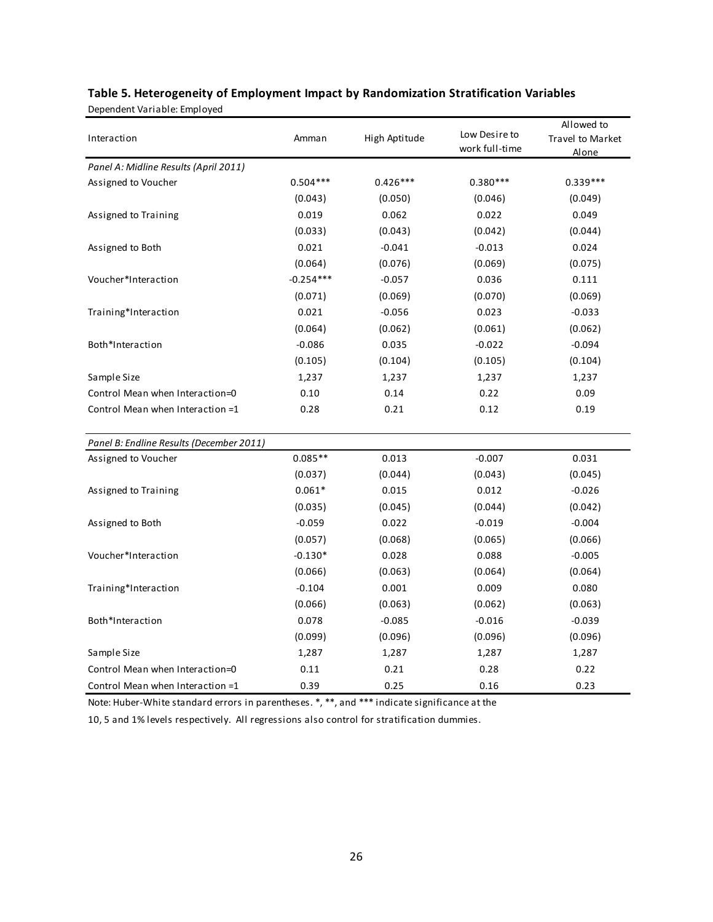| Interaction                              | Amman       | High Aptitude | Low Desire to<br>work full-time | Allowed to<br>Travel to Market<br>Alone |
|------------------------------------------|-------------|---------------|---------------------------------|-----------------------------------------|
| Panel A: Midline Results (April 2011)    |             |               |                                 |                                         |
| Assigned to Voucher                      | $0.504***$  | $0.426***$    | $0.380***$                      | $0.339***$                              |
|                                          | (0.043)     | (0.050)       | (0.046)                         | (0.049)                                 |
| Assigned to Training                     | 0.019       | 0.062         | 0.022                           | 0.049                                   |
|                                          | (0.033)     | (0.043)       | (0.042)                         | (0.044)                                 |
| Assigned to Both                         | 0.021       | $-0.041$      | $-0.013$                        | 0.024                                   |
|                                          | (0.064)     | (0.076)       | (0.069)                         | (0.075)                                 |
| Voucher*Interaction                      | $-0.254***$ | $-0.057$      | 0.036                           | 0.111                                   |
|                                          | (0.071)     | (0.069)       | (0.070)                         | (0.069)                                 |
| Training*Interaction                     | 0.021       | $-0.056$      | 0.023                           | $-0.033$                                |
|                                          | (0.064)     | (0.062)       | (0.061)                         | (0.062)                                 |
| Both*Interaction                         | $-0.086$    | 0.035         | $-0.022$                        | $-0.094$                                |
|                                          | (0.105)     | (0.104)       | (0.105)                         | (0.104)                                 |
| Sample Size                              | 1,237       | 1,237         | 1,237                           | 1,237                                   |
| Control Mean when Interaction=0          | 0.10        | 0.14          | 0.22                            | 0.09                                    |
| Control Mean when Interaction =1         | 0.28        | 0.21          | 0.12                            | 0.19                                    |
| Panel B: Endline Results (December 2011) |             |               |                                 |                                         |
| Assigned to Voucher                      | $0.085**$   | 0.013         | $-0.007$                        | 0.031                                   |
|                                          | (0.037)     | (0.044)       | (0.043)                         | (0.045)                                 |
| Assigned to Training                     | $0.061*$    | 0.015         | 0.012                           | $-0.026$                                |
|                                          | (0.035)     | (0.045)       | (0.044)                         | (0.042)                                 |
| Assigned to Both                         | $-0.059$    | 0.022         | $-0.019$                        | $-0.004$                                |
|                                          | (0.057)     | (0.068)       | (0.065)                         | (0.066)                                 |
| Voucher*Interaction                      | $-0.130*$   | 0.028         | 0.088                           | $-0.005$                                |
|                                          | (0.066)     | (0.063)       | (0.064)                         | (0.064)                                 |
| Training*Interaction                     | $-0.104$    | 0.001         | 0.009                           | 0.080                                   |
|                                          | (0.066)     | (0.063)       | (0.062)                         | (0.063)                                 |
| Both*Interaction                         | 0.078       | $-0.085$      | $-0.016$                        | $-0.039$                                |
|                                          | (0.099)     | (0.096)       | (0.096)                         | (0.096)                                 |
| Sample Size                              | 1,287       | 1,287         | 1,287                           | 1,287                                   |
| Control Mean when Interaction=0          | 0.11        | 0.21          | 0.28                            | 0.22                                    |
| Control Mean when Interaction =1         | 0.39        | 0.25          | 0.16                            | 0.23                                    |

# **Table 5. Heterogeneity of Employment Impact by Randomization Stratification Variables** Dependent Variable: Employed

Note: Huber-White standard errors in parentheses. \*, \*\*, and \*\*\* indicate significance at the

10, 5 and 1% levels respectively. All regressions also control for stratification dummies.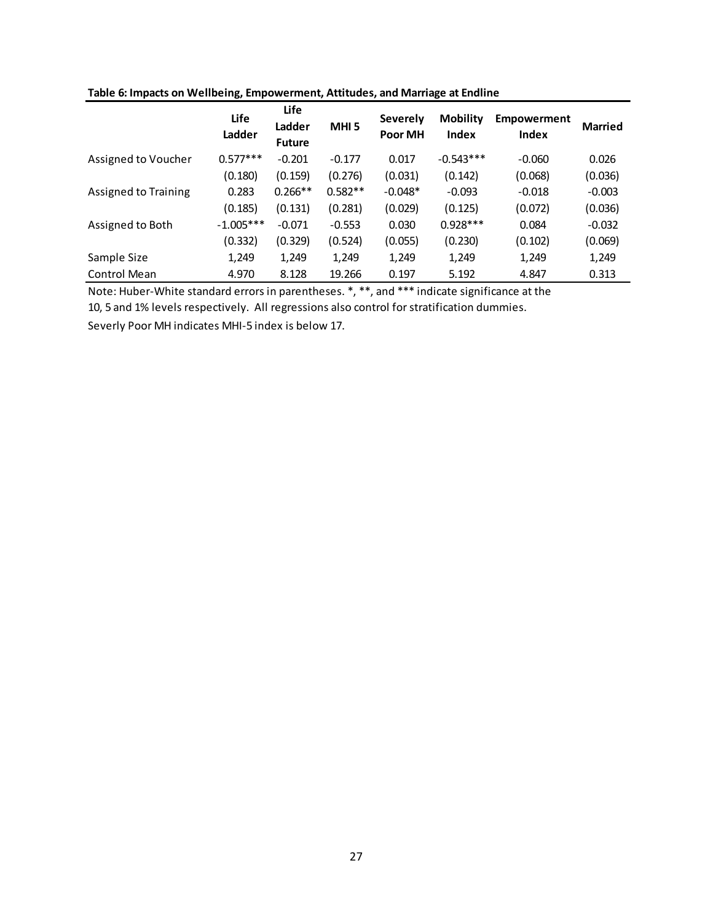|                      | Life<br>Ladder | Life<br>Ladder<br><b>Future</b> | <b>MHI5</b> | Severely<br>Poor MH | <b>Mobility</b><br><b>Index</b> | <b>Empowerment</b><br>Index | <b>Married</b> |
|----------------------|----------------|---------------------------------|-------------|---------------------|---------------------------------|-----------------------------|----------------|
| Assigned to Voucher  | $0.577***$     | $-0.201$                        | $-0.177$    | 0.017               | $-0.543***$                     | $-0.060$                    | 0.026          |
|                      | (0.180)        | (0.159)                         | (0.276)     | (0.031)             | (0.142)                         | (0.068)                     | (0.036)        |
| Assigned to Training | 0.283          | $0.266**$                       | $0.582**$   | $-0.048*$           | $-0.093$                        | $-0.018$                    | $-0.003$       |
|                      | (0.185)        | (0.131)                         | (0.281)     | (0.029)             | (0.125)                         | (0.072)                     | (0.036)        |
| Assigned to Both     | $-1.005***$    | $-0.071$                        | $-0.553$    | 0.030               | $0.928***$                      | 0.084                       | $-0.032$       |
|                      | (0.332)        | (0.329)                         | (0.524)     | (0.055)             | (0.230)                         | (0.102)                     | (0.069)        |
| Sample Size          | 1,249          | 1,249                           | 1,249       | 1,249               | 1,249                           | 1,249                       | 1,249          |
| Control Mean         | 4.970          | 8.128                           | 19.266      | 0.197               | 5.192                           | 4.847                       | 0.313          |

## **Table 6: Impacts on Wellbeing, Empowerment, Attitudes, and Marriage at Endline**

Note: Huber-White standard errors in parentheses. \*, \*\*, and \*\*\* indicate significance at the

10, 5 and 1% levels respectively. All regressions also control for stratification dummies.

Severly Poor MH indicates MHI-5 index is below 17.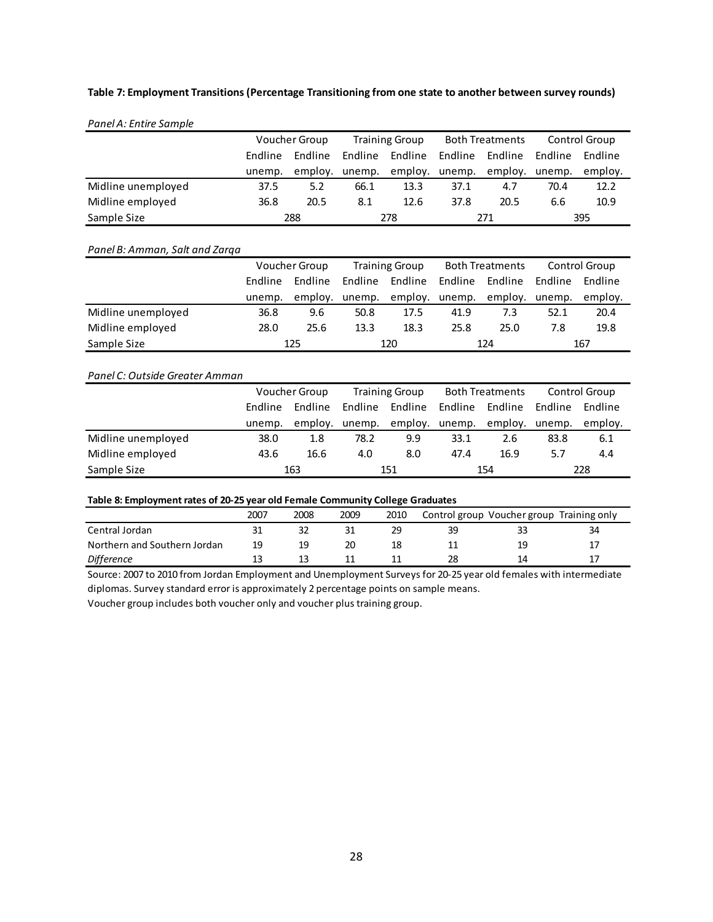### **Table 7: Employment Transitions (Percentage Transitioning from one state to another between survey rounds)**

| Panel A: Entire Sample |                |               |         |                       |                |                        |         |               |
|------------------------|----------------|---------------|---------|-----------------------|----------------|------------------------|---------|---------------|
|                        |                | Voucher Group |         | <b>Training Group</b> |                | <b>Both Treatments</b> |         | Control Group |
|                        | <b>Fndline</b> | Endline       | Endline | Endline               | Endline        | Endline                | Endline | Endline       |
|                        | unemp.         | employ.       | unemp.  |                       | employ. unemp. | employ.                | unemp.  | employ.       |
| Midline unemployed     | 37.5           | 5.2           | 66.1    | 13.3                  | 37.1           | 4.7                    | 70.4    | 12.2          |
| Midline employed       | 36.8           | 20.5          | 8.1     | 12.6                  | 37.8           | 20.5                   | 6.6     | 10.9          |
| Sample Size            |                | 288           |         | 278                   |                | 271                    |         | 395           |

### *Panel B: Amman, Salt and Zarqa*

|                    | Voucher Group |         | <b>Training Group</b> |                | <b>Both Treatments</b> |         | Control Group |         |
|--------------------|---------------|---------|-----------------------|----------------|------------------------|---------|---------------|---------|
|                    | Endline       | Endline | Endline               | Endline        | Endline                | Endline | Endline       | Endline |
|                    | unemp.        |         | employ. unemp.        | employ. unemp. |                        | employ. | unemp.        | employ. |
| Midline unemployed | 36.8          | 9.6     | 50.8                  | 17.5           | 41.9                   | 7.3     | 52.1          | 20.4    |
| Midline employed   | 28.0          | 25.6    | 13.3                  | 18.3           | 25.8                   | 25.0    | 7.8           | 19.8    |
| Sample Size        |               | 125     |                       | 120            |                        | 124     |               | 167     |

#### *Panel C: Outside Greater Amman*

|                    | Voucher Group |         | <b>Training Group</b> |                | <b>Both Treatments</b> |         | Control Group |         |
|--------------------|---------------|---------|-----------------------|----------------|------------------------|---------|---------------|---------|
|                    | Endline       | Endline | Endline               | Endline        | Endline                | Endline | Endline       | Endline |
|                    | unemp.        |         | employ. unemp.        | employ. unemp. |                        | emplov. | unemp.        | employ. |
| Midline unemployed | 38.0          | 1.8     | 78.2                  | 9.9            | 33.1                   | 2.6     | 83.8          | 6.1     |
| Midline employed   | 43.6          | 16.6    | 4.0                   | 8.0            | 47.4                   | 16.9    | 5.7           | 4.4     |
| Sample Size        |               | 163     |                       | 151            |                        | 154     |               | 228     |

#### **Table 8: Employment rates of 20-25 year old Female Community College Graduates**

|                              | 2007 | 2008 | 2009 | 2010 |    | Control group Voucher group Training only |    |
|------------------------------|------|------|------|------|----|-------------------------------------------|----|
| Central Jordan               |      |      |      |      | 39 | 33                                        | 34 |
| Northern and Southern Jordan | 19   | 19   | 20   |      |    | 19                                        |    |
| <b>Difference</b>            |      |      |      |      | 28 | 14                                        |    |

Source: 2007 to 2010 from Jordan Employment and Unemployment Surveys for 20-25 year old females with intermediate diplomas. Survey standard error is approximately 2 percentage points on sample means.

Voucher group includes both voucher only and voucher plus training group.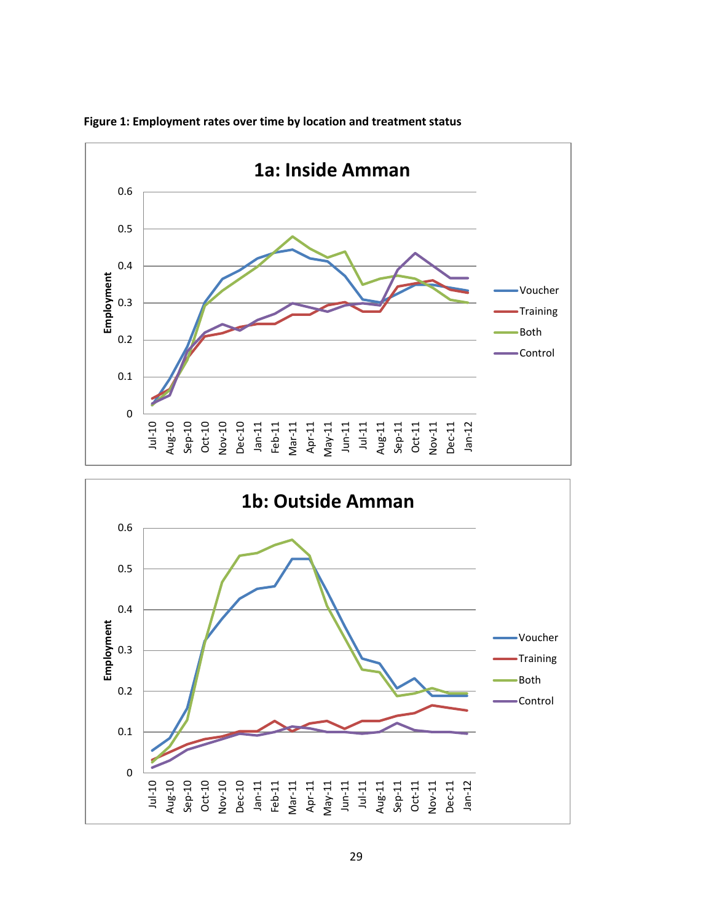

**Figure 1: Employment rates over time by location and treatment status**

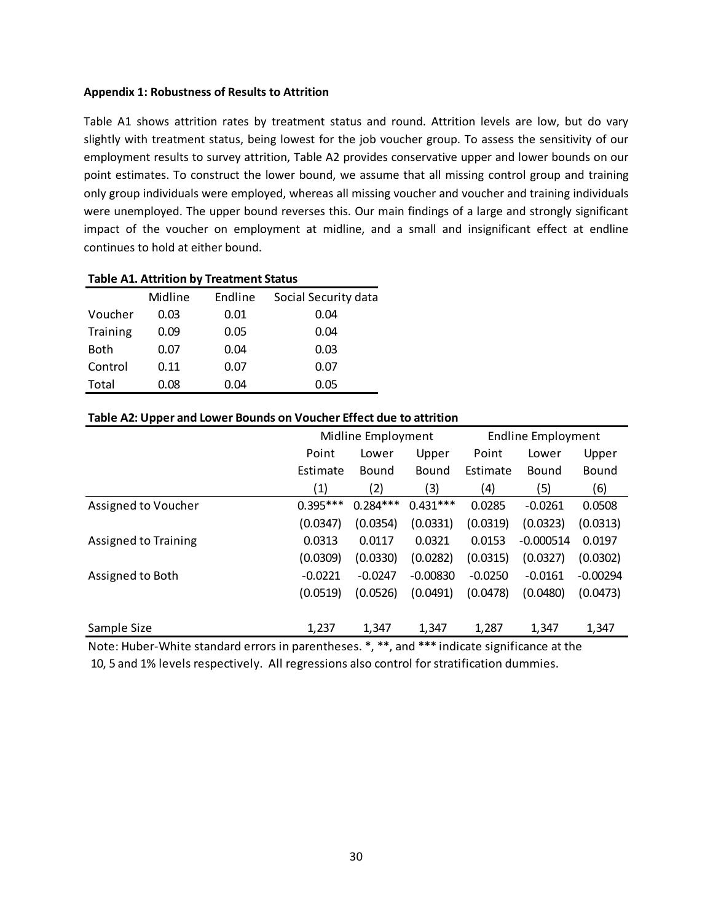## **Appendix 1: Robustness of Results to Attrition**

Table A1 shows attrition rates by treatment status and round. Attrition levels are low, but do vary slightly with treatment status, being lowest for the job voucher group. To assess the sensitivity of our employment results to survey attrition, Table A2 provides conservative upper and lower bounds on our point estimates. To construct the lower bound, we assume that all missing control group and training only group individuals were employed, whereas all missing voucher and voucher and training individuals were unemployed. The upper bound reverses this. Our main findings of a large and strongly significant impact of the voucher on employment at midline, and a small and insignificant effect at endline continues to hold at either bound.

|             |         | Table AI. Attrition by Heathlent Status |                      |
|-------------|---------|-----------------------------------------|----------------------|
|             | Midline | Endline                                 | Social Security data |
| Voucher     | 0.03    | 0.01                                    | 0.04                 |
| Training    | 0.09    | 0.05                                    | 0.04                 |
| <b>Both</b> | 0.07    | 0.04                                    | 0.03                 |
| Control     | 0.11    | 0.07                                    | 0.07                 |
| Total       | 0.08    | 0.04                                    | 0.05                 |

# **Table A1. Attrition by Treatment Status**

## **Table A2: Upper and Lower Bounds on Voucher Effect due to attrition**

|                             | Midline Employment                                           |            |            | <b>Endline Employment</b> |             |            |  |
|-----------------------------|--------------------------------------------------------------|------------|------------|---------------------------|-------------|------------|--|
|                             | Point                                                        | Lower      | Upper      | Point                     | Lower       | Upper      |  |
|                             | Estimate                                                     | Bound      | Bound      | Estimate                  | Bound       | Bound      |  |
|                             | (1)                                                          | (2)        | (3)        | (4)                       | (5)         | (6)        |  |
| Assigned to Voucher         | $0.395***$                                                   | $0.284***$ | $0.431***$ | 0.0285                    | $-0.0261$   | 0.0508     |  |
|                             | (0.0347)                                                     | (0.0354)   | (0.0331)   | (0.0319)                  | (0.0323)    | (0.0313)   |  |
| <b>Assigned to Training</b> | 0.0313                                                       | 0.0117     | 0.0321     | 0.0153                    | $-0.000514$ | 0.0197     |  |
|                             | (0.0309)                                                     | (0.0330)   | (0.0282)   | (0.0315)                  | (0.0327)    | (0.0302)   |  |
| Assigned to Both            | $-0.0221$                                                    | $-0.0247$  | $-0.00830$ | $-0.0250$                 | $-0.0161$   | $-0.00294$ |  |
|                             | (0.0519)                                                     | (0.0526)   | (0.0491)   | (0.0478)                  | (0.0480)    | (0.0473)   |  |
| Sample Size                 | 1,237                                                        | 1,347      | 1,347      | 1,287                     | 1,347       | 1,347      |  |
| .<br>.                      | ملہ ملہ ملہ<br>• ملاملاملا ا<br>$\cdot$ $\cdot$<br>$\sim$ 1. |            |            |                           |             |            |  |

Note: Huber-White standard errors in parentheses. \*, \*\*, and \*\*\* indicate significance at the

10, 5 and 1% levels respectively. All regressions also control for stratification dummies.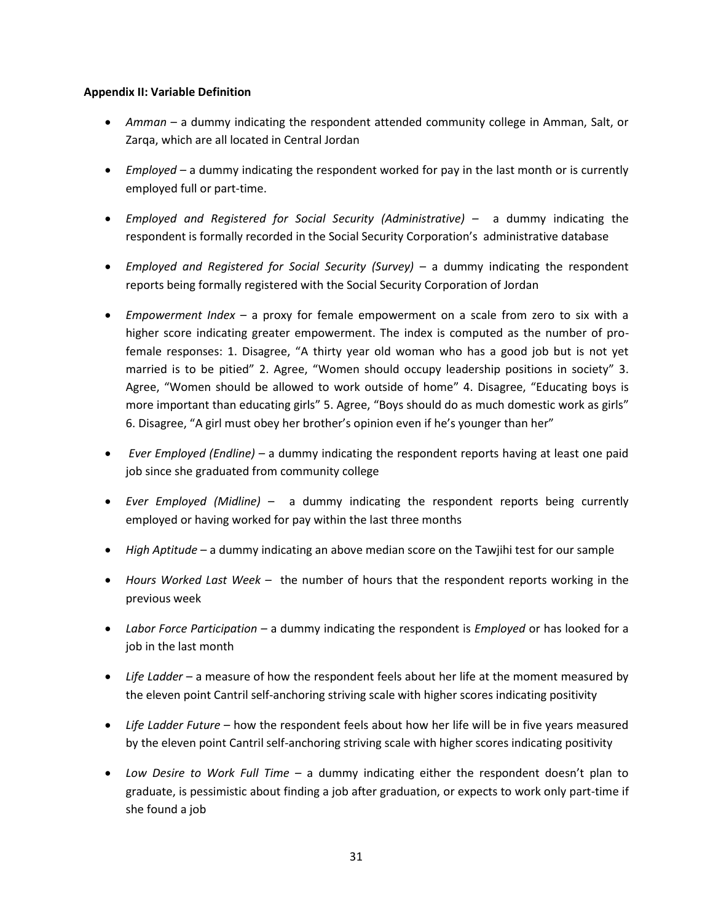## **Appendix II: Variable Definition**

- *Amman* a dummy indicating the respondent attended community college in Amman, Salt, or Zarqa, which are all located in Central Jordan
- *Employed* a dummy indicating the respondent worked for pay in the last month or is currently employed full or part-time.
- *Employed and Registered for Social Security (Administrative) –* a dummy indicating the respondent is formally recorded in the Social Security Corporation's administrative database
- Employed and Registered for Social Security (Survey) a dummy indicating the respondent reports being formally registered with the Social Security Corporation of Jordan
- *Empowerment Index* a proxy for female empowerment on a scale from zero to six with a higher score indicating greater empowerment. The index is computed as the number of profemale responses: 1. Disagree, "A thirty year old woman who has a good job but is not yet married is to be pitied" 2. Agree, "Women should occupy leadership positions in society" 3. Agree, "Women should be allowed to work outside of home" 4. Disagree, "Educating boys is more important than educating girls" 5. Agree, "Boys should do as much domestic work as girls" 6. Disagree, "A girl must obey her brother's opinion even if he's younger than her"
- *Ever Employed (Endline)* a dummy indicating the respondent reports having at least one paid job since she graduated from community college
- *Ever Employed (Midline)* a dummy indicating the respondent reports being currently employed or having worked for pay within the last three months
- *High Aptitude* a dummy indicating an above median score on the Tawjihi test for our sample
- *Hours Worked Last Week –* the number of hours that the respondent reports working in the previous week
- *Labor Force Participation –* a dummy indicating the respondent is *Employed* or has looked for a job in the last month
- *Life Ladder* a measure of how the respondent feels about her life at the moment measured by the eleven point Cantril self-anchoring striving scale with higher scores indicating positivity
- *Life Ladder Future* how the respondent feels about how her life will be in five years measured by the eleven point Cantril self-anchoring striving scale with higher scores indicating positivity
- *Low Desire to Work Full Time*  a dummy indicating either the respondent doesn't plan to graduate, is pessimistic about finding a job after graduation, or expects to work only part-time if she found a job